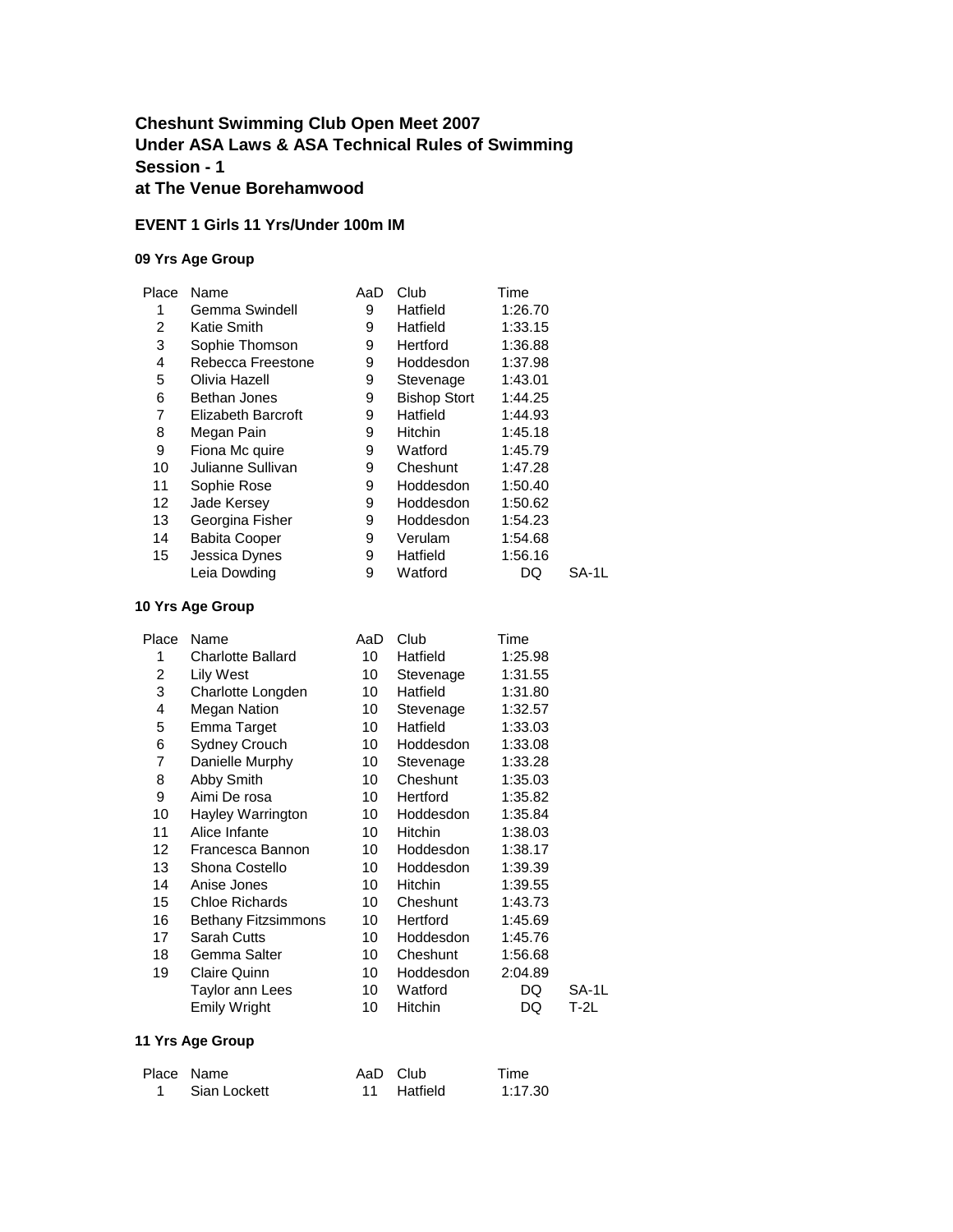## **Cheshunt Swimming Club Open Meet 2007 Under ASA Laws & ASA Technical Rules of Swimming Session - 1 at The Venue Borehamwood**

#### **EVENT 1 Girls 11 Yrs/Under 100m IM**

### **09 Yrs Age Group**

| Place | Name                      | AaD | Club                | Time    |       |
|-------|---------------------------|-----|---------------------|---------|-------|
| 1     | Gemma Swindell            | 9   | Hatfield            | 1:26.70 |       |
| 2     | Katie Smith               | 9   | Hatfield            | 1:33.15 |       |
| 3     | Sophie Thomson            | 9   | Hertford            | 1:36.88 |       |
| 4     | Rebecca Freestone         | 9   | Hoddesdon           | 1:37.98 |       |
| 5     | Olivia Hazell             | 9   | Stevenage           | 1:43.01 |       |
| 6     | Bethan Jones              | 9   | <b>Bishop Stort</b> | 1:44.25 |       |
| 7     | <b>Elizabeth Barcroft</b> | 9   | Hatfield            | 1:44.93 |       |
| 8     | Megan Pain                | 9   | Hitchin             | 1:45.18 |       |
| 9     | Fiona Mc quire            | 9   | Watford             | 1:45.79 |       |
| 10    | Julianne Sullivan         | 9   | Cheshunt            | 1:47.28 |       |
| 11    | Sophie Rose               | 9   | Hoddesdon           | 1:50.40 |       |
| 12    | Jade Kersey               | 9   | Hoddesdon           | 1:50.62 |       |
| 13    | Georgina Fisher           | 9   | Hoddesdon           | 1:54.23 |       |
| 14    | <b>Babita Cooper</b>      | 9   | Verulam             | 1:54.68 |       |
| 15    | Jessica Dynes             | 9   | Hatfield            | 1:56.16 |       |
|       | Leia Dowding              | 9   | Watford             | DQ      | SA-1L |

#### **10 Yrs Age Group**

| Place | Name                       | AaD | Club      | Time    |        |
|-------|----------------------------|-----|-----------|---------|--------|
| 1     | <b>Charlotte Ballard</b>   | 10  | Hatfield  | 1:25.98 |        |
| 2     | Lily West                  | 10  | Stevenage | 1:31.55 |        |
| 3     | Charlotte Longden          | 10  | Hatfield  | 1:31.80 |        |
| 4     | <b>Megan Nation</b>        | 10  | Stevenage | 1:32.57 |        |
| 5     | Emma Target                | 10  | Hatfield  | 1:33.03 |        |
| 6     | <b>Sydney Crouch</b>       | 10  | Hoddesdon | 1:33.08 |        |
| 7     | Danielle Murphy            | 10  | Stevenage | 1:33.28 |        |
| 8     | Abby Smith                 | 10  | Cheshunt  | 1:35.03 |        |
| 9     | Aimi De rosa               | 10  | Hertford  | 1:35.82 |        |
| 10    | Hayley Warrington          | 10  | Hoddesdon | 1:35.84 |        |
| 11    | Alice Infante              | 10  | Hitchin   | 1:38.03 |        |
| 12    | Francesca Bannon           | 10  | Hoddesdon | 1:38.17 |        |
| 13    | Shona Costello             | 10  | Hoddesdon | 1:39.39 |        |
| 14    | Anise Jones                | 10  | Hitchin   | 1:39.55 |        |
| 15    | <b>Chloe Richards</b>      | 10  | Cheshunt  | 1:43.73 |        |
| 16    | <b>Bethany Fitzsimmons</b> | 10  | Hertford  | 1:45.69 |        |
| 17    | Sarah Cutts                | 10  | Hoddesdon | 1:45.76 |        |
| 18    | Gemma Salter               | 10  | Cheshunt  | 1:56.68 |        |
| 19    | Claire Quinn               | 10  | Hoddesdon | 2:04.89 |        |
|       | Taylor ann Lees            | 10  | Watford   | DQ      | SA-1L  |
|       | Emily Wright               | 10  | Hitchin   | DQ      | $T-2L$ |

| Place Name     | AaD Club    | Time    |
|----------------|-------------|---------|
| 1 Sian Lockett | 11 Hatfield | 1:17.30 |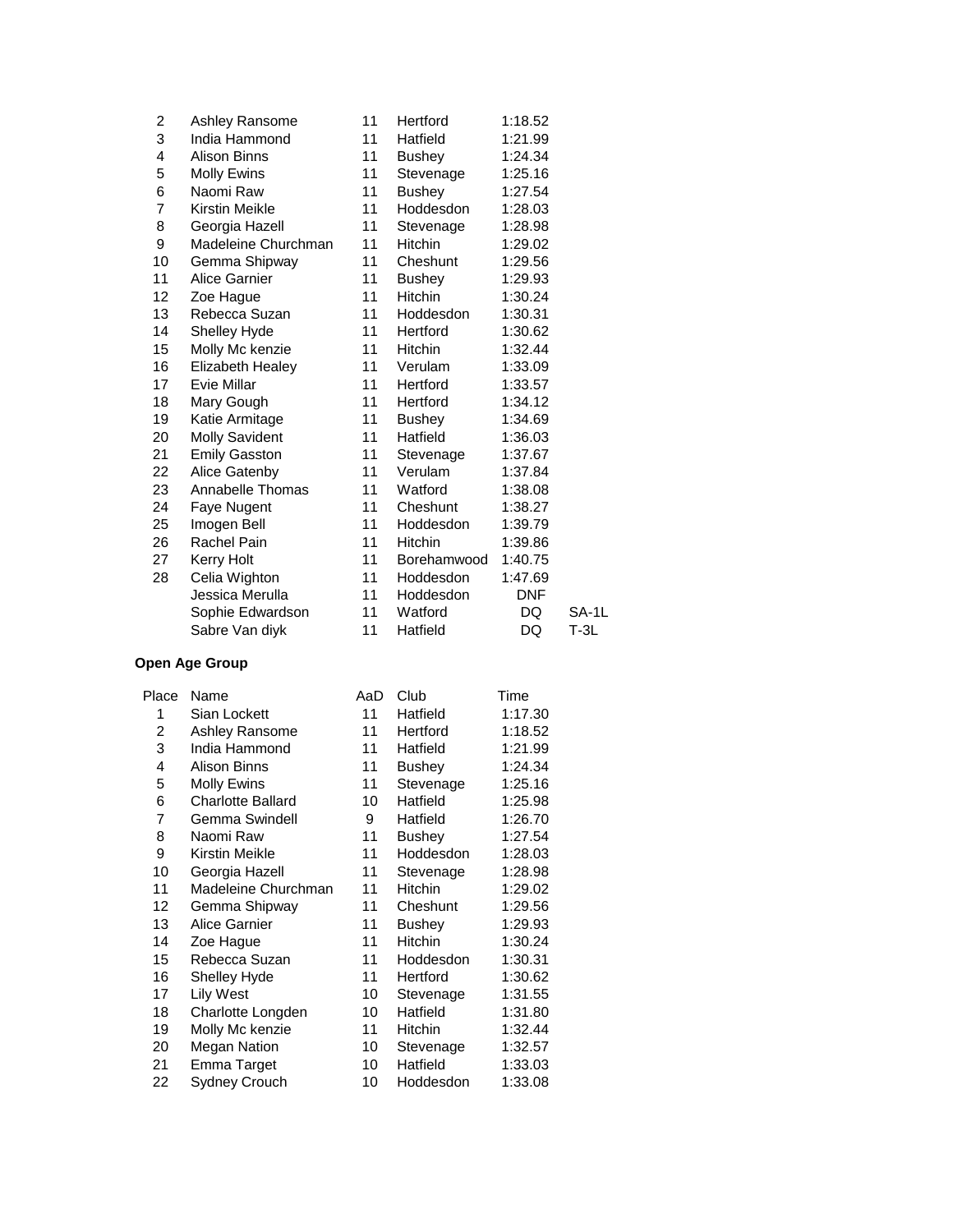| 2  | Ashley Ransome          | 11 | Hertford       | 1:18.52    |       |
|----|-------------------------|----|----------------|------------|-------|
| 3  | India Hammond           | 11 | Hatfield       | 1:21.99    |       |
| 4  | <b>Alison Binns</b>     | 11 | <b>Bushey</b>  | 1:24.34    |       |
| 5  | Molly Ewins             | 11 | Stevenage      | 1:25.16    |       |
| 6  | Naomi Raw               | 11 | <b>Bushey</b>  | 1:27.54    |       |
| 7  | Kirstin Meikle          | 11 | Hoddesdon      | 1:28.03    |       |
| 8  | Georgia Hazell          | 11 | Stevenage      | 1:28.98    |       |
| 9  | Madeleine Churchman     | 11 | Hitchin        | 1:29.02    |       |
| 10 | Gemma Shipway           | 11 | Cheshunt       | 1:29.56    |       |
| 11 | <b>Alice Garnier</b>    | 11 | <b>Bushey</b>  | 1:29.93    |       |
| 12 | Zoe Hague               | 11 | Hitchin        | 1:30.24    |       |
| 13 | Rebecca Suzan           | 11 | Hoddesdon      | 1:30.31    |       |
| 14 | Shelley Hyde            | 11 | Hertford       | 1:30.62    |       |
| 15 | Molly Mc kenzie         | 11 | <b>Hitchin</b> | 1:32.44    |       |
| 16 | <b>Elizabeth Healey</b> | 11 | Verulam        | 1:33.09    |       |
| 17 | Evie Millar             | 11 | Hertford       | 1:33.57    |       |
| 18 | Mary Gough              | 11 | Hertford       | 1:34.12    |       |
| 19 | Katie Armitage          | 11 | <b>Bushey</b>  | 1:34.69    |       |
| 20 | <b>Molly Savident</b>   | 11 | Hatfield       | 1:36.03    |       |
| 21 | <b>Emily Gasston</b>    | 11 | Stevenage      | 1:37.67    |       |
| 22 | Alice Gatenby           | 11 | Verulam        | 1:37.84    |       |
| 23 | Annabelle Thomas        | 11 | Watford        | 1:38.08    |       |
| 24 | Faye Nugent             | 11 | Cheshunt       | 1:38.27    |       |
| 25 | Imogen Bell             | 11 | Hoddesdon      | 1:39.79    |       |
| 26 | Rachel Pain             | 11 | Hitchin        | 1:39.86    |       |
| 27 | Kerry Holt              | 11 | Borehamwood    | 1:40.75    |       |
| 28 | Celia Wighton           | 11 | Hoddesdon      | 1:47.69    |       |
|    | Jessica Merulla         | 11 | Hoddesdon      | <b>DNF</b> |       |
|    | Sophie Edwardson        | 11 | Watford        | DQ         | SA-1L |
|    | Sabre Van diyk          | 11 | Hatfield       | DQ         | T-3L  |

| Place | Name                     | AaD | Club           | Time    |
|-------|--------------------------|-----|----------------|---------|
| 1     | Sian Lockett             | 11  | Hatfield       | 1:17.30 |
| 2     | Ashley Ransome           | 11  | Hertford       | 1:18.52 |
| 3     | India Hammond            | 11  | Hatfield       | 1:21.99 |
| 4     | Alison Binns             | 11  | <b>Bushey</b>  | 1:24.34 |
| 5     | Molly Ewins              | 11  | Stevenage      | 1:25.16 |
| 6     | <b>Charlotte Ballard</b> | 10  | Hatfield       | 1:25.98 |
| 7     | Gemma Swindell           | 9   | Hatfield       | 1:26.70 |
| 8     | Naomi Raw                | 11  | <b>Bushey</b>  | 1:27.54 |
| 9     | Kirstin Meikle           | 11  | Hoddesdon      | 1:28.03 |
| 10    | Georgia Hazell           | 11  | Stevenage      | 1:28.98 |
| 11    | Madeleine Churchman      | 11  | <b>Hitchin</b> | 1:29.02 |
| 12    | Gemma Shipway            | 11  | Cheshunt       | 1:29.56 |
| 13    | <b>Alice Garnier</b>     | 11  | <b>Bushey</b>  | 1:29.93 |
| 14    | Zoe Hague                | 11  | <b>Hitchin</b> | 1:30.24 |
| 15    | Rebecca Suzan            | 11  | Hoddesdon      | 1:30.31 |
| 16    | Shelley Hyde             | 11  | Hertford       | 1:30.62 |
| 17    | <b>Lily West</b>         | 10  | Stevenage      | 1:31.55 |
| 18    | Charlotte Longden        | 10  | Hatfield       | 1:31.80 |
| 19    | Molly Mc kenzie          | 11  | Hitchin        | 1:32.44 |
| 20    | <b>Megan Nation</b>      | 10  | Stevenage      | 1:32.57 |
| 21    | Emma Target              | 10  | Hatfield       | 1:33.03 |
| 22    | Sydney Crouch            | 10  | Hoddesdon      | 1:33.08 |
|       |                          |     |                |         |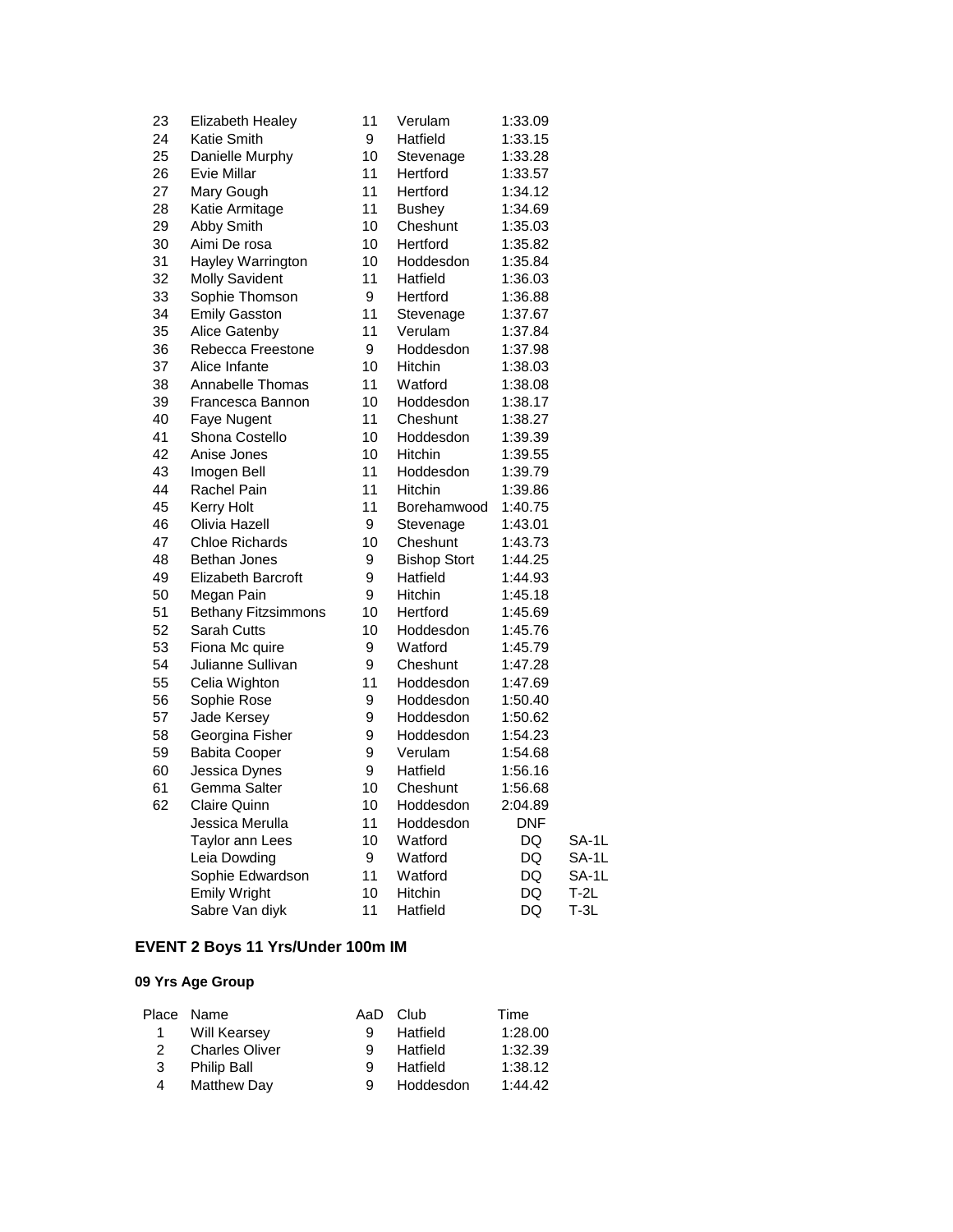| 23 | <b>Elizabeth Healey</b>    | 11 | Verulam             | 1:33.09    |        |
|----|----------------------------|----|---------------------|------------|--------|
| 24 | Katie Smith                | 9  | Hatfield            | 1:33.15    |        |
| 25 | Danielle Murphy            | 10 | Stevenage           | 1:33.28    |        |
| 26 | Evie Millar                | 11 | Hertford            | 1:33.57    |        |
| 27 | Mary Gough                 | 11 | Hertford            | 1:34.12    |        |
| 28 | Katie Armitage             | 11 | <b>Bushey</b>       | 1:34.69    |        |
| 29 | Abby Smith                 | 10 | Cheshunt            | 1:35.03    |        |
| 30 | Aimi De rosa               | 10 | Hertford            | 1:35.82    |        |
| 31 | Hayley Warrington          | 10 | Hoddesdon           | 1:35.84    |        |
| 32 | <b>Molly Savident</b>      | 11 | Hatfield            | 1:36.03    |        |
| 33 | Sophie Thomson             | 9  | Hertford            | 1:36.88    |        |
| 34 | <b>Emily Gasston</b>       | 11 | Stevenage           | 1:37.67    |        |
| 35 | Alice Gatenby              | 11 | Verulam             | 1:37.84    |        |
| 36 | Rebecca Freestone          | 9  | Hoddesdon           | 1:37.98    |        |
| 37 | Alice Infante              | 10 | Hitchin             | 1:38.03    |        |
| 38 | Annabelle Thomas           | 11 | Watford             | 1:38.08    |        |
| 39 | Francesca Bannon           | 10 | Hoddesdon           | 1:38.17    |        |
| 40 | Faye Nugent                | 11 | Cheshunt            | 1:38.27    |        |
| 41 | Shona Costello             | 10 | Hoddesdon           | 1:39.39    |        |
| 42 | Anise Jones                | 10 | Hitchin             | 1:39.55    |        |
| 43 | Imogen Bell                | 11 | Hoddesdon           | 1:39.79    |        |
| 44 | Rachel Pain                | 11 | <b>Hitchin</b>      | 1:39.86    |        |
| 45 | Kerry Holt                 | 11 | Borehamwood         | 1:40.75    |        |
| 46 | Olivia Hazell              | 9  | Stevenage           | 1:43.01    |        |
| 47 | <b>Chloe Richards</b>      | 10 | Cheshunt            | 1:43.73    |        |
| 48 | Bethan Jones               | 9  | <b>Bishop Stort</b> | 1:44.25    |        |
| 49 | <b>Elizabeth Barcroft</b>  | 9  | Hatfield            | 1:44.93    |        |
| 50 | Megan Pain                 | 9  | <b>Hitchin</b>      | 1:45.18    |        |
| 51 | <b>Bethany Fitzsimmons</b> | 10 | Hertford            | 1:45.69    |        |
| 52 | Sarah Cutts                | 10 | Hoddesdon           | 1:45.76    |        |
| 53 | Fiona Mc quire             | 9  | Watford             | 1:45.79    |        |
| 54 | Julianne Sullivan          | 9  | Cheshunt            | 1:47.28    |        |
| 55 | Celia Wighton              | 11 | Hoddesdon           | 1:47.69    |        |
| 56 | Sophie Rose                | 9  | Hoddesdon           | 1:50.40    |        |
| 57 | Jade Kersey                | 9  | Hoddesdon           | 1:50.62    |        |
| 58 | Georgina Fisher            | 9  | Hoddesdon           | 1:54.23    |        |
| 59 | <b>Babita Cooper</b>       | 9  | Verulam             | 1:54.68    |        |
| 60 | Jessica Dynes              | 9  | Hatfield            | 1:56.16    |        |
| 61 | Gemma Salter               | 10 | Cheshunt            | 1:56.68    |        |
| 62 | Claire Quinn               | 10 | Hoddesdon           | 2:04.89    |        |
|    | Jessica Merulla            | 11 | Hoddesdon           | <b>DNF</b> |        |
|    | Taylor ann Lees            | 10 | Watford             | DQ         | SA-1L  |
|    | Leia Dowding               | 9  | Watford             | DQ         | SA-1L  |
|    | Sophie Edwardson           | 11 | Watford             | DQ         | SA-1L  |
|    | <b>Emily Wright</b>        | 10 | Hitchin             | DQ         | $T-2L$ |
|    | Sabre Van diyk             | 11 | Hatfield            | DQ         | $T-3L$ |
|    |                            |    |                     |            |        |

# **EVENT 2 Boys 11 Yrs/Under 100m IM**

|           | Place Name            |   | AaD Club  | Time    |
|-----------|-----------------------|---|-----------|---------|
| $1 \quad$ | Will Kearsey          | 9 | Hatfield  | 1:28.00 |
| 2         | <b>Charles Oliver</b> | q | Hatfield  | 1:32.39 |
| 3         | <b>Philip Ball</b>    | 9 | Hatfield  | 1:38.12 |
| 4         | <b>Matthew Day</b>    | Й | Hoddesdon | 1:44.42 |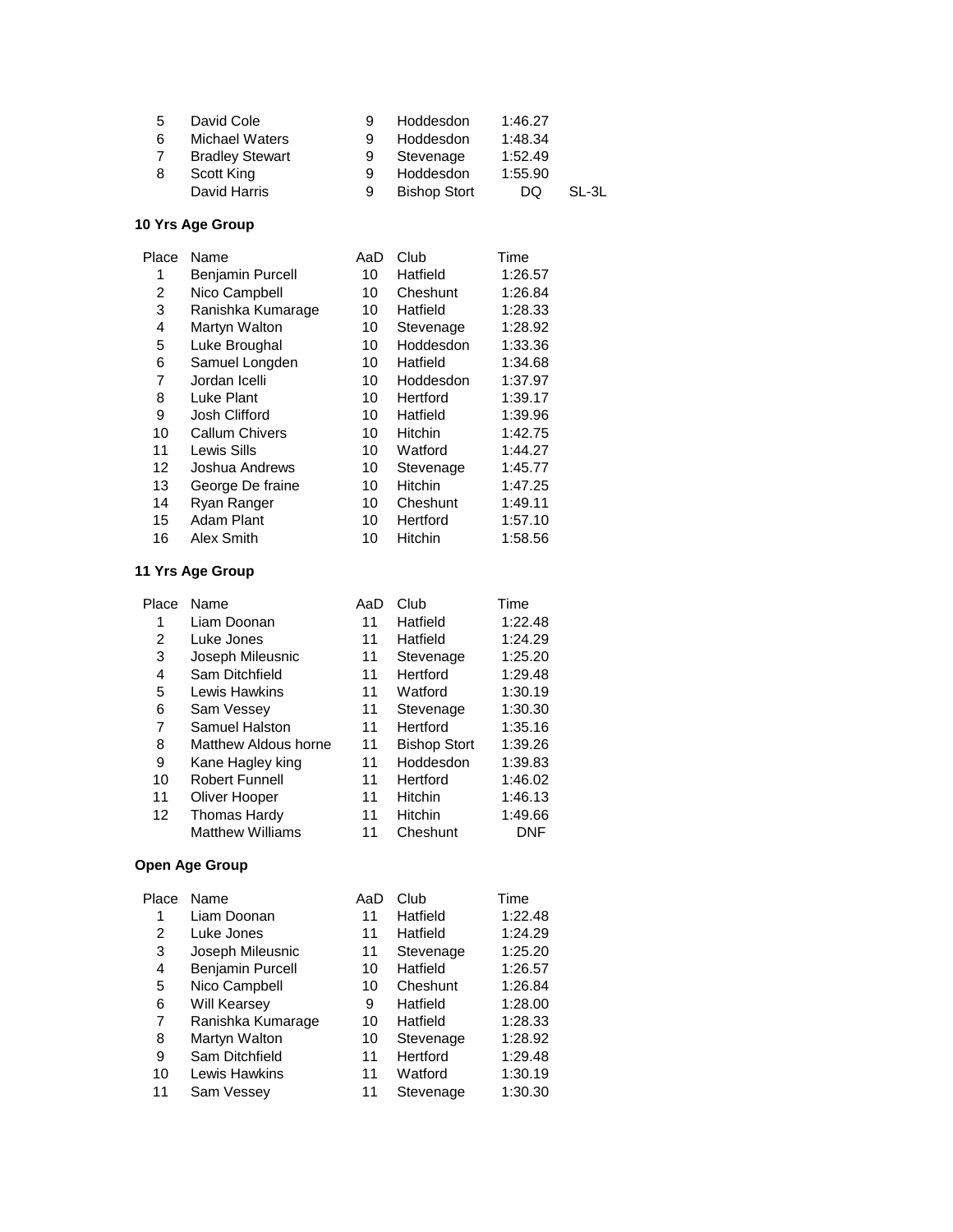| .5 | David Cole             |   | Hoddesdon           | 1:46.27 |       |
|----|------------------------|---|---------------------|---------|-------|
| 6  | <b>Michael Waters</b>  | 9 | Hoddesdon           | 1:48.34 |       |
|    | <b>Bradley Stewart</b> |   | Stevenage           | 1:52.49 |       |
| 8  | Scott King             | 9 | Hoddesdon           | 1:55.90 |       |
|    | David Harris           | 9 | <b>Bishop Stort</b> | DQ      | SL-3L |

| Place | Name                    | AaD | Club           | Time    |
|-------|-------------------------|-----|----------------|---------|
| 1     | <b>Benjamin Purcell</b> | 10  | Hatfield       | 1:26.57 |
| 2     | Nico Campbell           | 10  | Cheshunt       | 1:26.84 |
| 3     | Ranishka Kumarage       | 10  | Hatfield       | 1:28.33 |
| 4     | Martyn Walton           | 10  | Stevenage      | 1:28.92 |
| 5     | Luke Broughal           | 10  | Hoddesdon      | 1:33.36 |
| 6     | Samuel Longden          | 10  | Hatfield       | 1:34.68 |
| 7     | Jordan Icelli           | 10  | Hoddesdon      | 1:37.97 |
| 8     | Luke Plant              | 10  | Hertford       | 1:39.17 |
| 9     | Josh Clifford           | 10  | Hatfield       | 1:39.96 |
| 10    | Callum Chivers          | 10  | Hitchin        | 1:42.75 |
| 11    | Lewis Sills             | 10  | Watford        | 1:44.27 |
| 12    | Joshua Andrews          | 10  | Stevenage      | 1:45.77 |
| 13    | George De fraine        | 10  | Hitchin        | 1:47.25 |
| 14    | Ryan Ranger             | 10  | Cheshunt       | 1:49.11 |
| 15    | Adam Plant              | 10  | Hertford       | 1:57.10 |
| 16    | Alex Smith              | 10  | <b>Hitchin</b> | 1:58.56 |

### **11 Yrs Age Group**

| Place | Name                    | AaD | Club                | Time    |
|-------|-------------------------|-----|---------------------|---------|
| 1     | Liam Doonan             | 11  | Hatfield            | 1:22.48 |
| 2     | Luke Jones              | 11  | Hatfield            | 1:24.29 |
| 3     | Joseph Mileusnic        | 11  | Stevenage           | 1:25.20 |
| 4     | Sam Ditchfield          | 11  | Hertford            | 1:29.48 |
| 5     | Lewis Hawkins           | 11  | Watford             | 1:30.19 |
| 6     | Sam Vessey              | 11  | Stevenage           | 1:30.30 |
| 7     | Samuel Halston          | 11  | Hertford            | 1:35.16 |
| 8     | Matthew Aldous horne    | 11  | <b>Bishop Stort</b> | 1:39.26 |
| 9     | Kane Hagley king        | 11  | Hoddesdon           | 1:39.83 |
| 10    | <b>Robert Funnell</b>   | 11  | Hertford            | 1:46.02 |
| 11    | Oliver Hooper           | 11  | <b>Hitchin</b>      | 1:46.13 |
| 12    | Thomas Hardy            | 11  | <b>Hitchin</b>      | 1:49.66 |
|       | <b>Matthew Williams</b> | 11  | Cheshunt            | DNF     |

| Place | Name                    | AaD | Club      | Time    |
|-------|-------------------------|-----|-----------|---------|
| 1     | Liam Doonan             | 11  | Hatfield  | 1:22.48 |
| 2     | Luke Jones              | 11  | Hatfield  | 1:24.29 |
| 3     | Joseph Mileusnic        | 11  | Stevenage | 1:25.20 |
| 4     | <b>Benjamin Purcell</b> | 10  | Hatfield  | 1:26.57 |
| 5     | Nico Campbell           | 10  | Cheshunt  | 1:26.84 |
| 6     | <b>Will Kearsey</b>     | 9   | Hatfield  | 1:28.00 |
| 7     | Ranishka Kumarage       | 10  | Hatfield  | 1:28.33 |
| 8     | Martyn Walton           | 10  | Stevenage | 1:28.92 |
| 9     | Sam Ditchfield          | 11  | Hertford  | 1:29.48 |
| 10    | Lewis Hawkins           | 11  | Watford   | 1:30.19 |
| 11    | Sam Vessey              | 11  | Stevenage | 1:30.30 |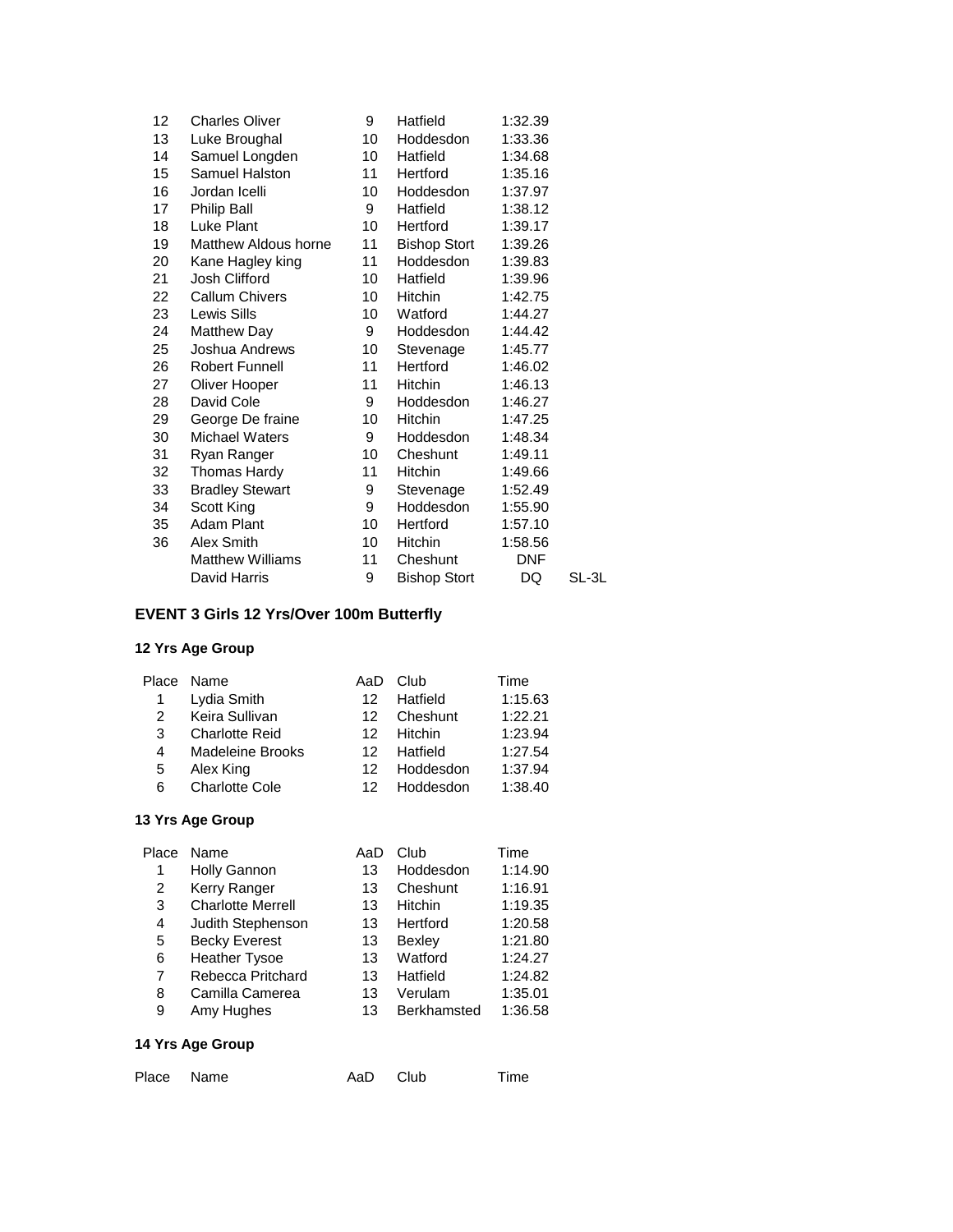| 12 | <b>Charles Oliver</b>   | 9               | Hatfield            | 1:32.39    |       |
|----|-------------------------|-----------------|---------------------|------------|-------|
| 13 | Luke Broughal           | 10              | Hoddesdon           | 1:33.36    |       |
| 14 | Samuel Longden          | 10 <sup>1</sup> | Hatfield            | 1:34.68    |       |
| 15 | Samuel Halston          | 11              | Hertford            | 1:35.16    |       |
| 16 | Jordan Icelli           | 10              | Hoddesdon           | 1:37.97    |       |
| 17 | Philip Ball             | 9               | Hatfield            | 1:38.12    |       |
| 18 | Luke Plant              | 10              | Hertford            | 1:39.17    |       |
| 19 | Matthew Aldous horne    | 11              | <b>Bishop Stort</b> | 1:39.26    |       |
| 20 | Kane Hagley king        | 11              | Hoddesdon           | 1:39.83    |       |
| 21 | Josh Clifford           | 10              | Hatfield            | 1:39.96    |       |
| 22 | <b>Callum Chivers</b>   | 10              | Hitchin             | 1:42.75    |       |
| 23 | Lewis Sills             | 10              | Watford             | 1:44.27    |       |
| 24 | <b>Matthew Day</b>      | 9               | Hoddesdon           | 1:44.42    |       |
| 25 | Joshua Andrews          | 10              | Stevenage           | 1:45.77    |       |
| 26 | <b>Robert Funnell</b>   | 11              | Hertford            | 1:46.02    |       |
| 27 | Oliver Hooper           | 11              | Hitchin             | 1:46.13    |       |
| 28 | David Cole              | 9               | Hoddesdon           | 1:46.27    |       |
| 29 | George De fraine        | 10              | Hitchin             | 1:47.25    |       |
| 30 | <b>Michael Waters</b>   | 9               | Hoddesdon           | 1:48.34    |       |
| 31 | Ryan Ranger             | 10              | Cheshunt            | 1:49.11    |       |
| 32 | Thomas Hardy            | 11              | <b>Hitchin</b>      | 1:49.66    |       |
| 33 | <b>Bradley Stewart</b>  | 9               | Stevenage           | 1:52.49    |       |
| 34 | Scott King              | 9               | Hoddesdon           | 1:55.90    |       |
| 35 | Adam Plant              | 10              | Hertford            | 1:57.10    |       |
| 36 | Alex Smith              | 10              | Hitchin             | 1:58.56    |       |
|    | <b>Matthew Williams</b> | 11              | Cheshunt            | <b>DNF</b> |       |
|    | David Harris            | 9               | <b>Bishop Stort</b> | DQ         | SL-3L |

# **EVENT 3 Girls 12 Yrs/Over 100m Butterfly**

# **12 Yrs Age Group**

|   | Place Name            | AaD             | Club       | Time    |
|---|-----------------------|-----------------|------------|---------|
|   | Lydia Smith           | 12 <sub>1</sub> | Hatfield   | 1:15.63 |
| 2 | Keira Sullivan        | 12.             | Cheshunt   | 1:22.21 |
| 3 | <b>Charlotte Reid</b> |                 | 12 Hitchin | 1:23.94 |
| 4 | Madeleine Brooks      | 12.             | Hatfield   | 1:27.54 |
| 5 | Alex King             | 12.             | Hoddesdon  | 1:37.94 |
| 6 | <b>Charlotte Cole</b> | 12.             | Hoddesdon  | 1:38.40 |
|   |                       |                 |            |         |

### **13 Yrs Age Group**

| Place | Name                     | AaD | Club          | Time    |
|-------|--------------------------|-----|---------------|---------|
| 1     | <b>Holly Gannon</b>      | 13  | Hoddesdon     | 1:14.90 |
| 2     | Kerry Ranger             | 13  | Cheshunt      | 1:16.91 |
| 3     | <b>Charlotte Merrell</b> | 13  | Hitchin       | 1:19.35 |
| 4     | Judith Stephenson        | 13  | Hertford      | 1:20.58 |
| 5     | <b>Becky Everest</b>     | 13  | <b>Bexley</b> | 1:21.80 |
| 6     | <b>Heather Tysoe</b>     | 13  | Watford       | 1:24.27 |
| 7     | Rebecca Pritchard        | 13  | Hatfield      | 1:24.82 |
| 8     | Camilla Camerea          | 13  | Verulam       | 1:35.01 |
| 9     | Amy Hughes               | 13  | Berkhamsted   | 1:36.58 |
|       |                          |     |               |         |

| Place Name | AaD Club |  | Time |
|------------|----------|--|------|
|------------|----------|--|------|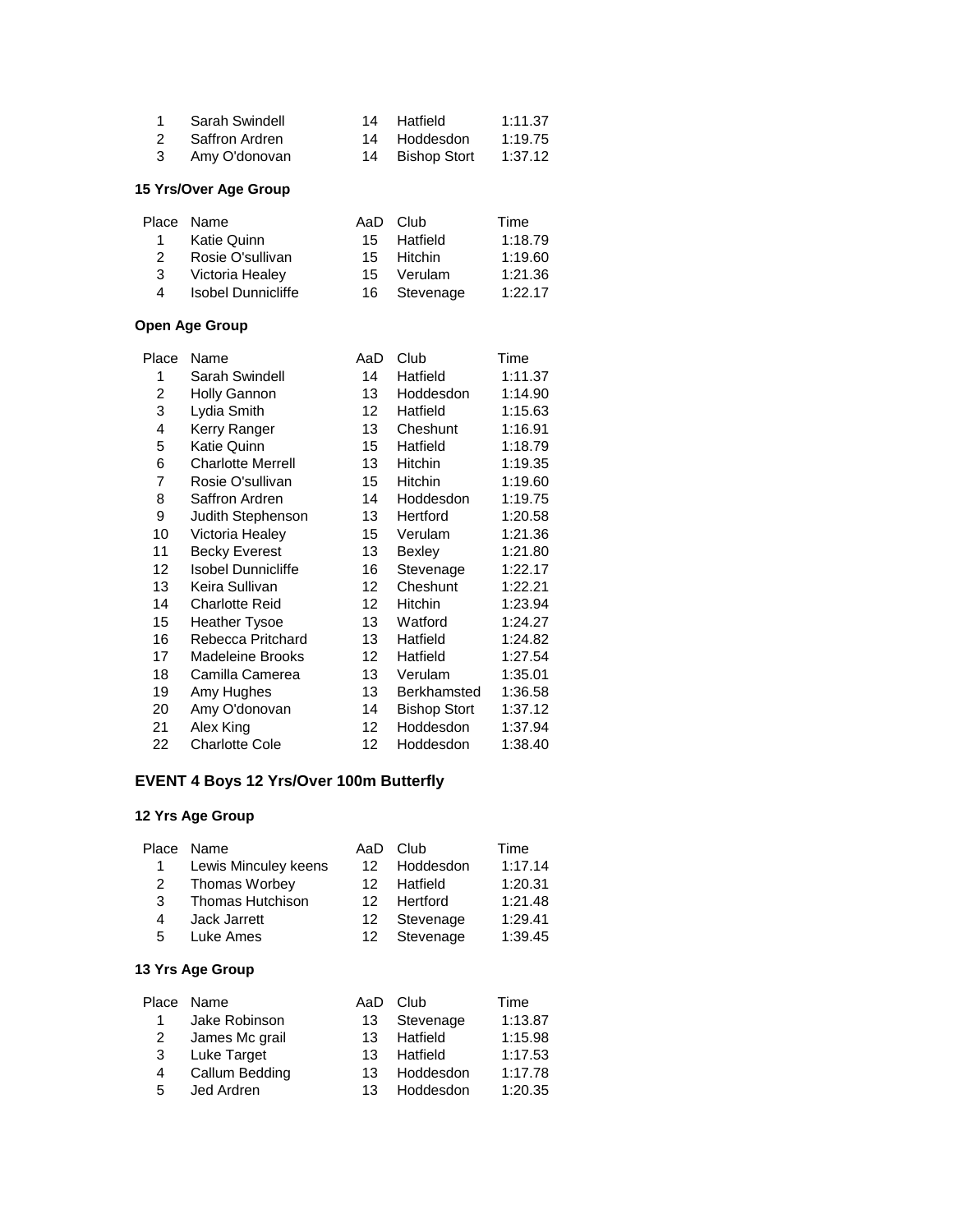|               | Sarah Swindell | 14 Hatfield     | 1:11.37 |
|---------------|----------------|-----------------|---------|
| $\mathcal{P}$ | Saffron Ardren | 14 Hoddesdon    | 1:19.75 |
| 3             | Amy O'donovan  | 14 Bishop Stort | 1:37.12 |
|               |                |                 |         |

## **15 Yrs/Over Age Group**

|               | Place Name         |    | AaD Club     | Time    |
|---------------|--------------------|----|--------------|---------|
| 1             | Katie Quinn        |    | 15 Hatfield  | 1:18.79 |
| $\mathcal{P}$ | Rosie O'sullivan   |    | 15 Hitchin   | 1:19.60 |
| 3             | Victoria Healey    | 15 | Verulam      | 1:21.36 |
| 4             | Isobel Dunnicliffe |    | 16 Stevenage | 1:22.17 |
|               |                    |    |              |         |

## **Open Age Group**

| Place | Name                      | AaD              | Club                | Time    |
|-------|---------------------------|------------------|---------------------|---------|
| 1     | Sarah Swindell            | 14               | Hatfield            | 1:11.37 |
| 2     | <b>Holly Gannon</b>       | 13               | Hoddesdon           | 1:14.90 |
| 3     | Lydia Smith               | 12 <sup>°</sup>  | Hatfield            | 1:15.63 |
| 4     | Kerry Ranger              | 13               | Cheshunt            | 1:16.91 |
| 5     | Katie Quinn               | 15               | Hatfield            | 1:18.79 |
| 6     | <b>Charlotte Merrell</b>  | 13               | <b>Hitchin</b>      | 1:19.35 |
| 7     | Rosie O'sullivan          | 15               | Hitchin             | 1:19.60 |
| 8     | Saffron Ardren            | 14               | Hoddesdon           | 1:19.75 |
| 9     | Judith Stephenson         | 13               | Hertford            | 1:20.58 |
| 10    | Victoria Healey           | 15               | Verulam             | 1:21.36 |
| 11    | <b>Becky Everest</b>      | 13               | Bexley              | 1:21.80 |
| 12    | <b>Isobel Dunnicliffe</b> | 16               | Stevenage           | 1:22.17 |
| 13    | Keira Sullivan            | 12 <sup>°</sup>  | Cheshunt            | 1:22.21 |
| 14    | <b>Charlotte Reid</b>     | 12               | Hitchin             | 1:23.94 |
| 15    | <b>Heather Tysoe</b>      | 13               | Watford             | 1:24.27 |
| 16    | Rebecca Pritchard         | 13               | Hatfield            | 1:24.82 |
| 17    | <b>Madeleine Brooks</b>   | 12               | Hatfield            | 1:27.54 |
| 18    | Camilla Camerea           | 13               | Verulam             | 1:35.01 |
| 19    | Amy Hughes                | 13               | Berkhamsted         | 1:36.58 |
| 20    | Amy O'donovan             | 14               | <b>Bishop Stort</b> | 1:37.12 |
| 21    | Alex King                 | 12 <sup>12</sup> | Hoddesdon           | 1:37.94 |
| 22    | <b>Charlotte Cole</b>     | 12               | Hoddesdon           | 1:38.40 |
|       |                           |                  |                     |         |

### **EVENT 4 Boys 12 Yrs/Over 100m Butterfly**

# **12 Yrs Age Group**

|    | Place Name              | AaD             | – Club    | Time    |
|----|-------------------------|-----------------|-----------|---------|
| 1  | Lewis Minculey keens    | 12.             | Hoddesdon | 1:17.14 |
| 2  | Thomas Worbey           | 12.             | Hatfield  | 1:20.31 |
| 3  | <b>Thomas Hutchison</b> | 12 <sup>7</sup> | Hertford  | 1:21.48 |
| 4  | Jack Jarrett            | 12              | Stevenage | 1:29.41 |
| 5. | Luke Ames               | 12              | Stevenage | 1:39.45 |
|    |                         |                 |           |         |

|              | Place Name     | AaD | Club         | Time    |
|--------------|----------------|-----|--------------|---------|
| $\mathbf{1}$ | Jake Robinson  |     | 13 Stevenage | 1:13.87 |
| 2            | James Mc grail | 13. | Hatfield     | 1:15.98 |
| 3            | Luke Target    | 13  | Hatfield     | 1:17.53 |
| 4            | Callum Bedding | 13. | Hoddesdon    | 1:17.78 |
| 5            | Jed Ardren     | 13. | Hoddesdon    | 1:20.35 |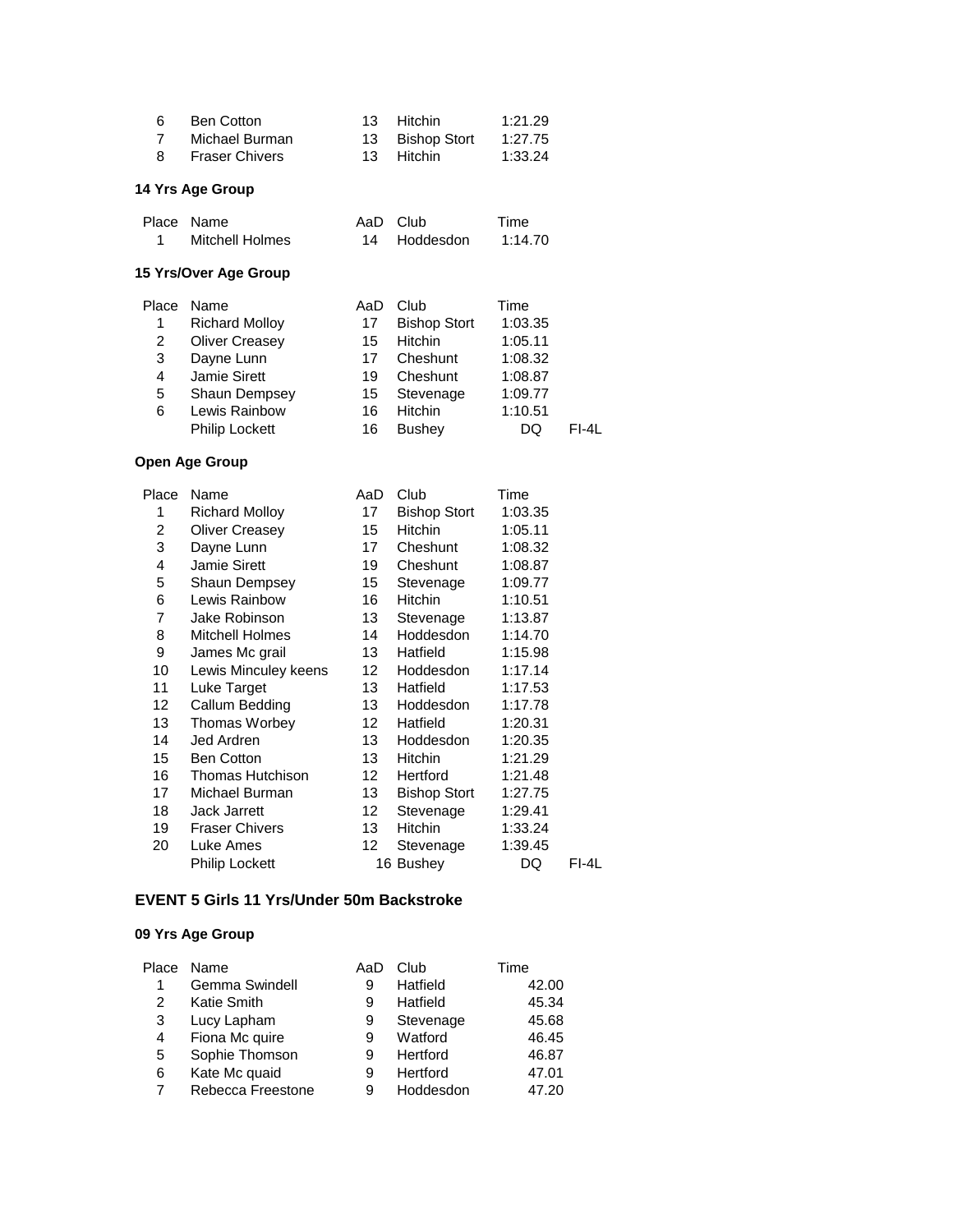| 6<br>7<br>8                                                                                                                 | <b>Ben Cotton</b><br>Michael Burman<br><b>Fraser Chivers</b>                                                                                                                                                                                                                                                                                                                                         | 13<br>13<br>13                                                                                                        | Hitchin<br><b>Bishop Stort</b><br>Hitchin                                                                                                                                                                                                                                              | 1:21.29<br>1:27.75<br>1:33.24                                                                                                                                                                                         |         |
|-----------------------------------------------------------------------------------------------------------------------------|------------------------------------------------------------------------------------------------------------------------------------------------------------------------------------------------------------------------------------------------------------------------------------------------------------------------------------------------------------------------------------------------------|-----------------------------------------------------------------------------------------------------------------------|----------------------------------------------------------------------------------------------------------------------------------------------------------------------------------------------------------------------------------------------------------------------------------------|-----------------------------------------------------------------------------------------------------------------------------------------------------------------------------------------------------------------------|---------|
|                                                                                                                             | 14 Yrs Age Group                                                                                                                                                                                                                                                                                                                                                                                     |                                                                                                                       |                                                                                                                                                                                                                                                                                        |                                                                                                                                                                                                                       |         |
| Place<br>1                                                                                                                  | Name<br><b>Mitchell Holmes</b>                                                                                                                                                                                                                                                                                                                                                                       | AaD<br>14                                                                                                             | Club<br>Hoddesdon                                                                                                                                                                                                                                                                      | Time<br>1:14.70                                                                                                                                                                                                       |         |
|                                                                                                                             | 15 Yrs/Over Age Group                                                                                                                                                                                                                                                                                                                                                                                |                                                                                                                       |                                                                                                                                                                                                                                                                                        |                                                                                                                                                                                                                       |         |
| Place<br>1<br>$\overline{c}$<br>3<br>4<br>5<br>6                                                                            | Name<br><b>Richard Molloy</b><br><b>Oliver Creasey</b><br>Dayne Lunn<br>Jamie Sirett<br>Shaun Dempsey<br>Lewis Rainbow<br><b>Philip Lockett</b>                                                                                                                                                                                                                                                      | AaD<br>17<br>15<br>17<br>19<br>15<br>16<br>16                                                                         | Club<br><b>Bishop Stort</b><br>Hitchin<br>Cheshunt<br>Cheshunt<br>Stevenage<br><b>Hitchin</b><br><b>Bushey</b>                                                                                                                                                                         | Time<br>1:03.35<br>1:05.11<br>1:08.32<br>1:08.87<br>1:09.77<br>1:10.51<br>DQ                                                                                                                                          | $FI-4L$ |
|                                                                                                                             | <b>Open Age Group</b>                                                                                                                                                                                                                                                                                                                                                                                |                                                                                                                       |                                                                                                                                                                                                                                                                                        |                                                                                                                                                                                                                       |         |
| Place<br>1<br>$\overline{c}$<br>3<br>4<br>5<br>6<br>7<br>8<br>9<br>10<br>11<br>12<br>13<br>14<br>15<br>16<br>17<br>18<br>19 | Name<br><b>Richard Molloy</b><br><b>Oliver Creasey</b><br>Dayne Lunn<br><b>Jamie Sirett</b><br>Shaun Dempsey<br>Lewis Rainbow<br>Jake Robinson<br><b>Mitchell Holmes</b><br>James Mc grail<br>Lewis Minculey keens<br>Luke Target<br>Callum Bedding<br>Thomas Worbey<br>Jed Ardren<br><b>Ben Cotton</b><br><b>Thomas Hutchison</b><br>Michael Burman<br><b>Jack Jarrett</b><br><b>Fraser Chivers</b> | AaD<br>17<br>15<br>17<br>19<br>15<br>16<br>13<br>14<br>13<br>12<br>13<br>13<br>12<br>13<br>13<br>12<br>13<br>12<br>13 | Club<br><b>Bishop Stort</b><br><b>Hitchin</b><br>Cheshunt<br>Cheshunt<br>Stevenage<br>Hitchin<br>Stevenage<br>Hoddesdon<br>Hatfield<br>Hoddesdon<br>Hatfield<br>Hoddesdon<br>Hatfield<br>Hoddesdon<br><b>Hitchin</b><br>Hertford<br><b>Bishop Stort</b><br>Stevenage<br><b>Hitchin</b> | Time<br>1:03.35<br>1:05.11<br>1:08.32<br>1:08.87<br>1:09.77<br>1:10.51<br>1:13.87<br>1:14.70<br>1:15.98<br>1:17.14<br>1:17.53<br>1:17.78<br>1:20.31<br>1:20.35<br>1:21.29<br>1:21.48<br>1:27.75<br>1:29.41<br>1:33.24 |         |
| 20                                                                                                                          | Luke Ames<br><b>Philip Lockett</b>                                                                                                                                                                                                                                                                                                                                                                   | 12                                                                                                                    | Stevenage<br>16 Bushey                                                                                                                                                                                                                                                                 | 1:39.45<br>DQ                                                                                                                                                                                                         | FI-4L   |

## **EVENT 5 Girls 11 Yrs/Under 50m Backstroke**

| Place | Name              | AaD | Club      | Time  |
|-------|-------------------|-----|-----------|-------|
|       | Gemma Swindell    | 9   | Hatfield  | 42.00 |
| 2     | Katie Smith       | 9   | Hatfield  | 45.34 |
| 3     | Lucy Lapham       | 9   | Stevenage | 45.68 |
| 4     | Fiona Mc quire    | 9   | Watford   | 46.45 |
| 5     | Sophie Thomson    | 9   | Hertford  | 46.87 |
| 6     | Kate Mc quaid     | 9   | Hertford  | 47.01 |
| 7     | Rebecca Freestone | 9   | Hoddesdon | 47.20 |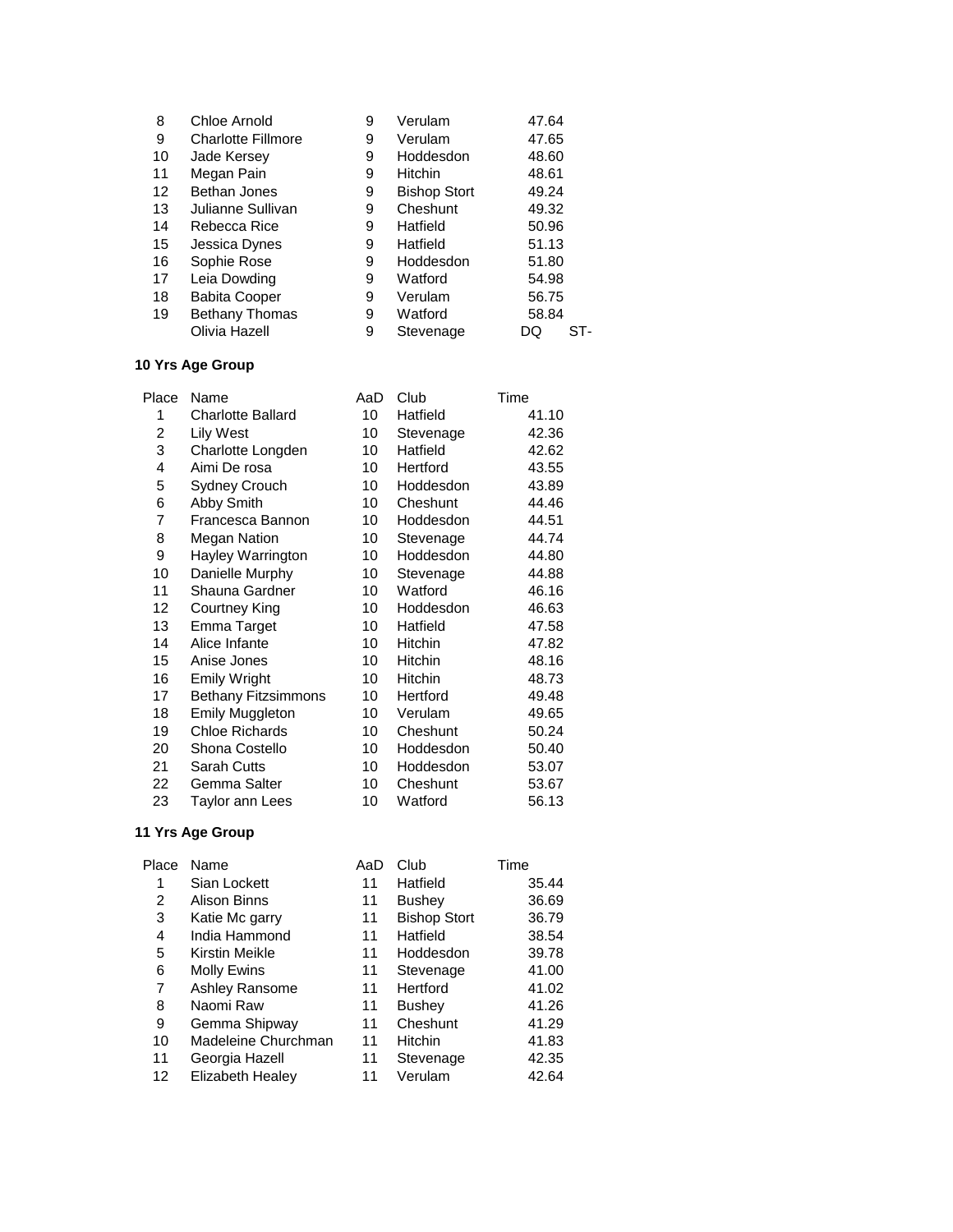| 8  | Chloe Arnold              | 9 | Verulam             | 47.64     |
|----|---------------------------|---|---------------------|-----------|
| 9  | <b>Charlotte Fillmore</b> | 9 | Verulam             | 47.65     |
| 10 | Jade Kersey               | 9 | Hoddesdon           | 48.60     |
| 11 | Megan Pain                | 9 | <b>Hitchin</b>      | 48.61     |
| 12 | Bethan Jones              | 9 | <b>Bishop Stort</b> | 49.24     |
| 13 | Julianne Sullivan         | 9 | Cheshunt            | 49.32     |
| 14 | Rebecca Rice              | 9 | Hatfield            | 50.96     |
| 15 | Jessica Dynes             | 9 | Hatfield            | 51.13     |
| 16 | Sophie Rose               | 9 | Hoddesdon           | 51.80     |
| 17 | Leia Dowding              | 9 | Watford             | 54.98     |
| 18 | <b>Babita Cooper</b>      | 9 | Verulam             | 56.75     |
| 19 | <b>Bethany Thomas</b>     | 9 | Watford             | 58.84     |
|    | Olivia Hazell             | 9 | Stevenage           | ST-<br>DQ |

| Name                       | AaD | Club      | Time  |
|----------------------------|-----|-----------|-------|
| Charlotte Ballard          | 10  | Hatfield  | 41.10 |
| <b>Lily West</b>           | 10  | Stevenage | 42.36 |
| Charlotte Longden          | 10  | Hatfield  | 42.62 |
| Aimi De rosa               | 10  | Hertford  | 43.55 |
| Sydney Crouch              | 10  | Hoddesdon | 43.89 |
| Abby Smith                 | 10  | Cheshunt  | 44.46 |
| Francesca Bannon           | 10  | Hoddesdon | 44.51 |
| <b>Megan Nation</b>        | 10  | Stevenage | 44.74 |
| Hayley Warrington          | 10  | Hoddesdon | 44.80 |
| Danielle Murphy            | 10  | Stevenage | 44.88 |
| Shauna Gardner             | 10  | Watford   | 46.16 |
| Courtney King              | 10  | Hoddesdon | 46.63 |
| Emma Target                | 10  | Hatfield  | 47.58 |
| Alice Infante              | 10  | Hitchin   | 47.82 |
| Anise Jones                | 10  | Hitchin   | 48.16 |
| <b>Emily Wright</b>        | 10  | Hitchin   | 48.73 |
| <b>Bethany Fitzsimmons</b> | 10  | Hertford  | 49.48 |
| <b>Emily Muggleton</b>     | 10  | Verulam   | 49.65 |
| <b>Chloe Richards</b>      | 10  | Cheshunt  | 50.24 |
| Shona Costello             | 10  | Hoddesdon | 50.40 |
| Sarah Cutts                | 10  | Hoddesdon | 53.07 |
| Gemma Salter               | 10  | Cheshunt  | 53.67 |
| Taylor ann Lees            | 10  | Watford   | 56.13 |
|                            |     |           |       |

| Place | Name                | AaD | Club                | Time  |
|-------|---------------------|-----|---------------------|-------|
| 1     | Sian Lockett        | 11  | Hatfield            | 35.44 |
| 2     | Alison Binns        | 11  | <b>Bushey</b>       | 36.69 |
| 3     | Katie Mc garry      | 11  | <b>Bishop Stort</b> | 36.79 |
| 4     | India Hammond       | 11  | Hatfield            | 38.54 |
| 5     | Kirstin Meikle      | 11  | Hoddesdon           | 39.78 |
| 6     | <b>Molly Ewins</b>  | 11  | Stevenage           | 41.00 |
| 7     | Ashley Ransome      | 11  | Hertford            | 41.02 |
| 8     | Naomi Raw           | 11  | <b>Bushey</b>       | 41.26 |
| 9     | Gemma Shipway       | 11  | Cheshunt            | 41.29 |
| 10    | Madeleine Churchman | 11  | <b>Hitchin</b>      | 41.83 |
| 11    | Georgia Hazell      | 11  | Stevenage           | 42.35 |
| 12    | Elizabeth Healey    | 11  | Verulam             | 42.64 |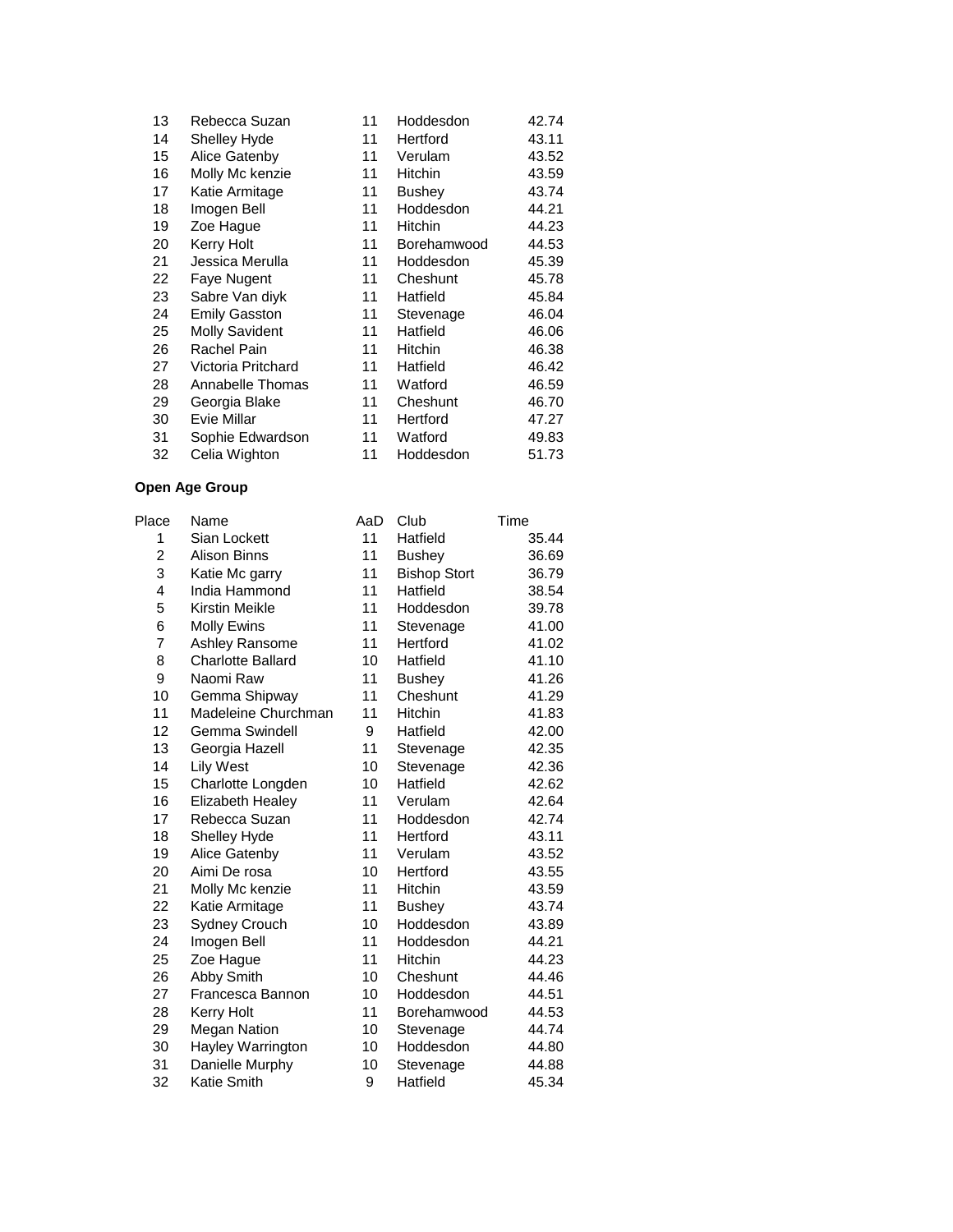| 13 | Rebecca Suzan         | 11 | Hoddesdon      | 42.74 |
|----|-----------------------|----|----------------|-------|
| 14 | Shelley Hyde          | 11 | Hertford       | 43.11 |
| 15 | Alice Gatenby         | 11 | Verulam        | 43.52 |
| 16 | Molly Mc kenzie       | 11 | Hitchin        | 43.59 |
| 17 | Katie Armitage        | 11 | Bushey         | 43.74 |
| 18 | Imogen Bell           | 11 | Hoddesdon      | 44.21 |
| 19 | Zoe Hague             | 11 | <b>Hitchin</b> | 44.23 |
| 20 | Kerry Holt            | 11 | Borehamwood    | 44.53 |
| 21 | Jessica Merulla       | 11 | Hoddesdon      | 45.39 |
| 22 | Faye Nugent           | 11 | Cheshunt       | 45.78 |
| 23 | Sabre Van diyk        | 11 | Hatfield       | 45.84 |
| 24 | <b>Emily Gasston</b>  | 11 | Stevenage      | 46.04 |
| 25 | <b>Molly Savident</b> | 11 | Hatfield       | 46.06 |
| 26 | Rachel Pain           | 11 | Hitchin        | 46.38 |
| 27 | Victoria Pritchard    | 11 | Hatfield       | 46.42 |
| 28 | Annabelle Thomas      | 11 | Watford        | 46.59 |
| 29 | Georgia Blake         | 11 | Cheshunt       | 46.70 |
| 30 | Evie Millar           | 11 | Hertford       | 47.27 |
| 31 | Sophie Edwardson      | 11 | Watford        | 49.83 |
| 32 | Celia Wighton         | 11 | Hoddesdon      | 51.73 |

| Place          | Name                     | AaD | Club                | Time  |
|----------------|--------------------------|-----|---------------------|-------|
| 1              | Sian Lockett             | 11  | Hatfield            | 35.44 |
| $\overline{2}$ | Alison Binns             | 11  | <b>Bushey</b>       | 36.69 |
| 3              | Katie Mc garry           | 11  | <b>Bishop Stort</b> | 36.79 |
| 4              | India Hammond            | 11  | Hatfield            | 38.54 |
| 5              | Kirstin Meikle           | 11  | Hoddesdon           | 39.78 |
| 6              | Molly Ewins              | 11  | Stevenage           | 41.00 |
| $\overline{7}$ | Ashley Ransome           | 11  | Hertford            | 41.02 |
| 8              | <b>Charlotte Ballard</b> | 10  | Hatfield            | 41.10 |
| 9              | Naomi Raw                | 11  | <b>Bushey</b>       | 41.26 |
| 10             | Gemma Shipway            | 11  | Cheshunt            | 41.29 |
| 11             | Madeleine Churchman      | 11  | <b>Hitchin</b>      | 41.83 |
| 12             | Gemma Swindell           | 9   | Hatfield            | 42.00 |
| 13             | Georgia Hazell           | 11  | Stevenage           | 42.35 |
| 14             | <b>Lily West</b>         | 10  | Stevenage           | 42.36 |
| 15             | Charlotte Longden        | 10  | Hatfield            | 42.62 |
| 16             | Elizabeth Healey         | 11  | Verulam             | 42.64 |
| 17             | Rebecca Suzan            | 11  | Hoddesdon           | 42.74 |
| 18             | Shelley Hyde             | 11  | Hertford            | 43.11 |
| 19             | Alice Gatenby            | 11  | Verulam             | 43.52 |
| 20             | Aimi De rosa             | 10  | Hertford            | 43.55 |
| 21             | Molly Mc kenzie          | 11  | Hitchin             | 43.59 |
| 22             | Katie Armitage           | 11  | <b>Bushey</b>       | 43.74 |
| 23             | Sydney Crouch            | 10  | Hoddesdon           | 43.89 |
| 24             | Imogen Bell              | 11  | Hoddesdon           | 44.21 |
| 25             | Zoe Hague                | 11  | <b>Hitchin</b>      | 44.23 |
| 26             | Abby Smith               | 10  | Cheshunt            | 44.46 |
| 27             | Francesca Bannon         | 10  | Hoddesdon           | 44.51 |
| 28             | <b>Kerry Holt</b>        | 11  | Borehamwood         | 44.53 |
| 29             | <b>Megan Nation</b>      | 10  | Stevenage           | 44.74 |
| 30             | Hayley Warrington        | 10  | Hoddesdon           | 44.80 |
| 31             | Danielle Murphy          | 10  | Stevenage           | 44.88 |
| 32             | Katie Smith              | 9   | Hatfield            | 45.34 |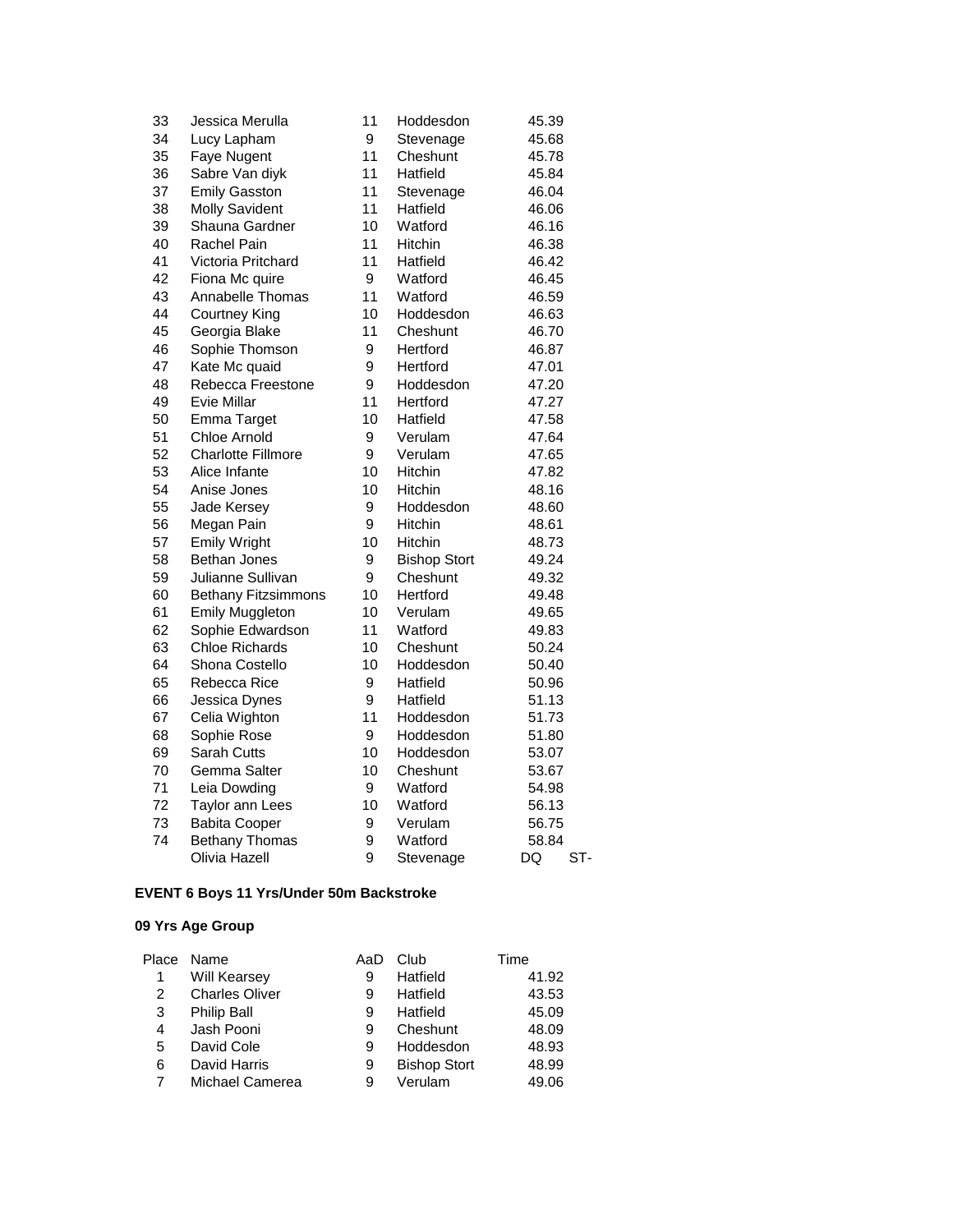| 33 | Jessica Merulla            | 11 | Hoddesdon           | 45.39     |
|----|----------------------------|----|---------------------|-----------|
| 34 | Lucy Lapham                | 9  | Stevenage           | 45.68     |
| 35 | Faye Nugent                | 11 | Cheshunt            | 45.78     |
| 36 | Sabre Van diyk             | 11 | Hatfield            | 45.84     |
| 37 | <b>Emily Gasston</b>       | 11 | Stevenage           | 46.04     |
| 38 | <b>Molly Savident</b>      | 11 | Hatfield            | 46.06     |
| 39 | Shauna Gardner             | 10 | Watford             | 46.16     |
| 40 | Rachel Pain                | 11 | Hitchin             | 46.38     |
| 41 | Victoria Pritchard         | 11 | Hatfield            | 46.42     |
| 42 | Fiona Mc quire             | 9  | Watford             | 46.45     |
| 43 | Annabelle Thomas           | 11 | Watford             | 46.59     |
| 44 | <b>Courtney King</b>       | 10 | Hoddesdon           | 46.63     |
| 45 | Georgia Blake              | 11 | Cheshunt            | 46.70     |
| 46 | Sophie Thomson             | 9  | Hertford            | 46.87     |
| 47 | Kate Mc quaid              | 9  | Hertford            | 47.01     |
| 48 | Rebecca Freestone          | 9  | Hoddesdon           | 47.20     |
| 49 | <b>Evie Millar</b>         | 11 | Hertford            | 47.27     |
| 50 | Emma Target                | 10 | Hatfield            | 47.58     |
| 51 | <b>Chloe Arnold</b>        | 9  | Verulam             | 47.64     |
| 52 | <b>Charlotte Fillmore</b>  | 9  | Verulam             | 47.65     |
| 53 | Alice Infante              | 10 | Hitchin             | 47.82     |
| 54 | Anise Jones                | 10 | <b>Hitchin</b>      | 48.16     |
| 55 | Jade Kersey                | 9  | Hoddesdon           | 48.60     |
| 56 | Megan Pain                 | 9  | Hitchin             | 48.61     |
| 57 | <b>Emily Wright</b>        | 10 | Hitchin             | 48.73     |
| 58 | <b>Bethan Jones</b>        | 9  | <b>Bishop Stort</b> | 49.24     |
| 59 | Julianne Sullivan          | 9  | Cheshunt            | 49.32     |
| 60 | <b>Bethany Fitzsimmons</b> | 10 | Hertford            | 49.48     |
| 61 | <b>Emily Muggleton</b>     | 10 | Verulam             | 49.65     |
| 62 | Sophie Edwardson           | 11 | Watford             | 49.83     |
| 63 | <b>Chloe Richards</b>      | 10 | Cheshunt            | 50.24     |
| 64 | Shona Costello             | 10 | Hoddesdon           | 50.40     |
| 65 | Rebecca Rice               | 9  | Hatfield            | 50.96     |
| 66 | Jessica Dynes              | 9  | Hatfield            | 51.13     |
| 67 | Celia Wighton              | 11 | Hoddesdon           | 51.73     |
| 68 | Sophie Rose                | 9  | Hoddesdon           | 51.80     |
| 69 | <b>Sarah Cutts</b>         | 10 | Hoddesdon           | 53.07     |
| 70 | Gemma Salter               | 10 | Cheshunt            | 53.67     |
| 71 | Leia Dowding               | 9  | Watford             | 54.98     |
| 72 | Taylor ann Lees            | 10 | Watford             | 56.13     |
| 73 | <b>Babita Cooper</b>       | 9  | Verulam             | 56.75     |
| 74 | <b>Bethany Thomas</b>      | 9  | Watford             | 58.84     |
|    | Olivia Hazell              | 9  | Stevenage           | DQ<br>ST- |

### **EVENT 6 Boys 11 Yrs/Under 50m Backstroke**

|   | Place Name            | AaD | Club                | Time  |
|---|-----------------------|-----|---------------------|-------|
| 1 | <b>Will Kearsey</b>   | 9   | Hatfield            | 41.92 |
| 2 | <b>Charles Oliver</b> | 9   | Hatfield            | 43.53 |
| 3 | Philip Ball           | 9   | Hatfield            | 45.09 |
| 4 | Jash Pooni            | 9   | Cheshunt            | 48.09 |
| 5 | David Cole            | 9   | Hoddesdon           | 48.93 |
| 6 | David Harris          | 9   | <b>Bishop Stort</b> | 48.99 |
|   | Michael Camerea       | 9   | Verulam             | 49.06 |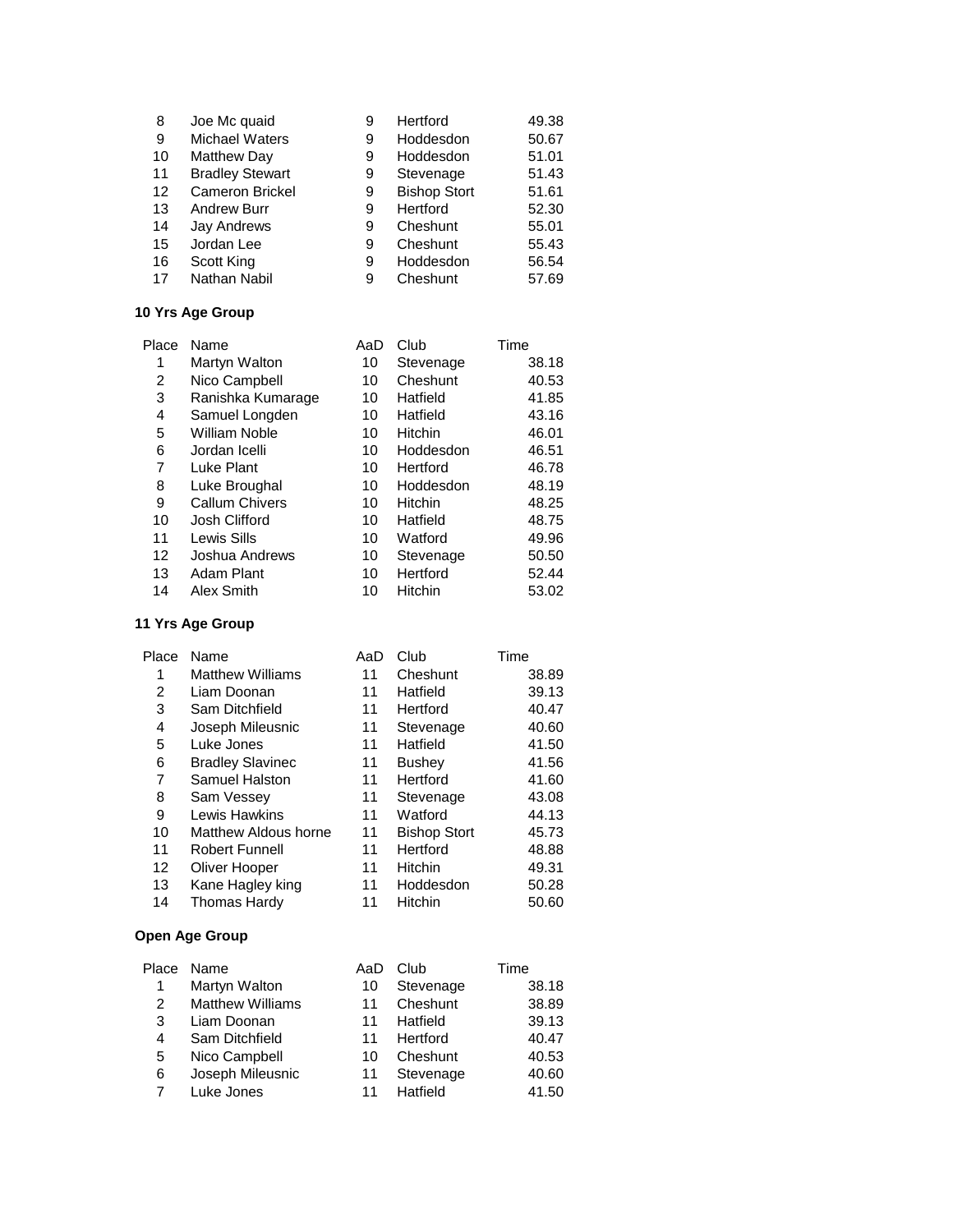| 8  | Joe Mc quaid           | 9 | Hertford            | 49.38 |
|----|------------------------|---|---------------------|-------|
| 9  | <b>Michael Waters</b>  | 9 | Hoddesdon           | 50.67 |
| 10 | <b>Matthew Day</b>     | 9 | Hoddesdon           | 51.01 |
| 11 | <b>Bradley Stewart</b> | 9 | Stevenage           | 51.43 |
| 12 | <b>Cameron Brickel</b> | 9 | <b>Bishop Stort</b> | 51.61 |
| 13 | <b>Andrew Burr</b>     | 9 | Hertford            | 52.30 |
| 14 | <b>Jay Andrews</b>     | 9 | Cheshunt            | 55.01 |
| 15 | Jordan Lee             | 9 | Cheshunt            | 55.43 |
| 16 | Scott King             | 9 | Hoddesdon           | 56.54 |
| 17 | Nathan Nabil           | 9 | Cheshunt            | 57.69 |

| Place | Name                  | AaD | Club           | Time  |
|-------|-----------------------|-----|----------------|-------|
| 1     | Martyn Walton         | 10  | Stevenage      | 38.18 |
| 2     | Nico Campbell         | 10  | Cheshunt       | 40.53 |
| 3     | Ranishka Kumarage     | 10  | Hatfield       | 41.85 |
| 4     | Samuel Longden        | 10  | Hatfield       | 43.16 |
| 5     | William Noble         | 10  | <b>Hitchin</b> | 46.01 |
| 6     | Jordan Icelli         | 10  | Hoddesdon      | 46.51 |
| 7     | Luke Plant            | 10  | Hertford       | 46.78 |
| 8     | Luke Broughal         | 10  | Hoddesdon      | 48.19 |
| 9     | <b>Callum Chivers</b> | 10  | <b>Hitchin</b> | 48.25 |
| 10    | Josh Clifford         | 10  | Hatfield       | 48.75 |
| 11    | Lewis Sills           | 10  | Watford        | 49.96 |
| 12    | Joshua Andrews        | 10  | Stevenage      | 50.50 |
| 13    | Adam Plant            | 10  | Hertford       | 52.44 |
| 14    | Alex Smith            | 10  | Hitchin        | 53.02 |
|       |                       |     |                |       |

# **11 Yrs Age Group**

| Place | Name                    | AaD | Club                | Time  |
|-------|-------------------------|-----|---------------------|-------|
| 1     | <b>Matthew Williams</b> | 11  | Cheshunt            | 38.89 |
| 2     | Liam Doonan             | 11  | Hatfield            | 39.13 |
| 3     | Sam Ditchfield          | 11  | Hertford            | 40.47 |
| 4     | Joseph Mileusnic        | 11  | Stevenage           | 40.60 |
| 5     | Luke Jones              | 11  | Hatfield            | 41.50 |
| 6     | <b>Bradley Slavinec</b> | 11  | <b>Bushey</b>       | 41.56 |
| 7     | Samuel Halston          | 11  | Hertford            | 41.60 |
| 8     | Sam Vessey              | 11  | Stevenage           | 43.08 |
| 9     | Lewis Hawkins           | 11  | Watford             | 44.13 |
| 10    | Matthew Aldous horne    | 11  | <b>Bishop Stort</b> | 45.73 |
| 11    | <b>Robert Funnell</b>   | 11  | Hertford            | 48.88 |
| 12    | Oliver Hooper           | 11  | <b>Hitchin</b>      | 49.31 |
| 13    | Kane Hagley king        | 11  | Hoddesdon           | 50.28 |
| 14    | <b>Thomas Hardy</b>     | 11  | Hitchin             | 50.60 |

|   | Place Name              | AaD | Club      | Time  |
|---|-------------------------|-----|-----------|-------|
|   | Martyn Walton           | 10  | Stevenage | 38.18 |
| 2 | <b>Matthew Williams</b> | 11  | Cheshunt  | 38.89 |
| 3 | Liam Doonan             | 11  | Hatfield  | 39.13 |
| 4 | Sam Ditchfield          | 11  | Hertford  | 40.47 |
| 5 | Nico Campbell           | 10  | Cheshunt  | 40.53 |
| 6 | Joseph Mileusnic        | 11  | Stevenage | 40.60 |
|   | Luke Jones              | 11  | Hatfield  | 41.50 |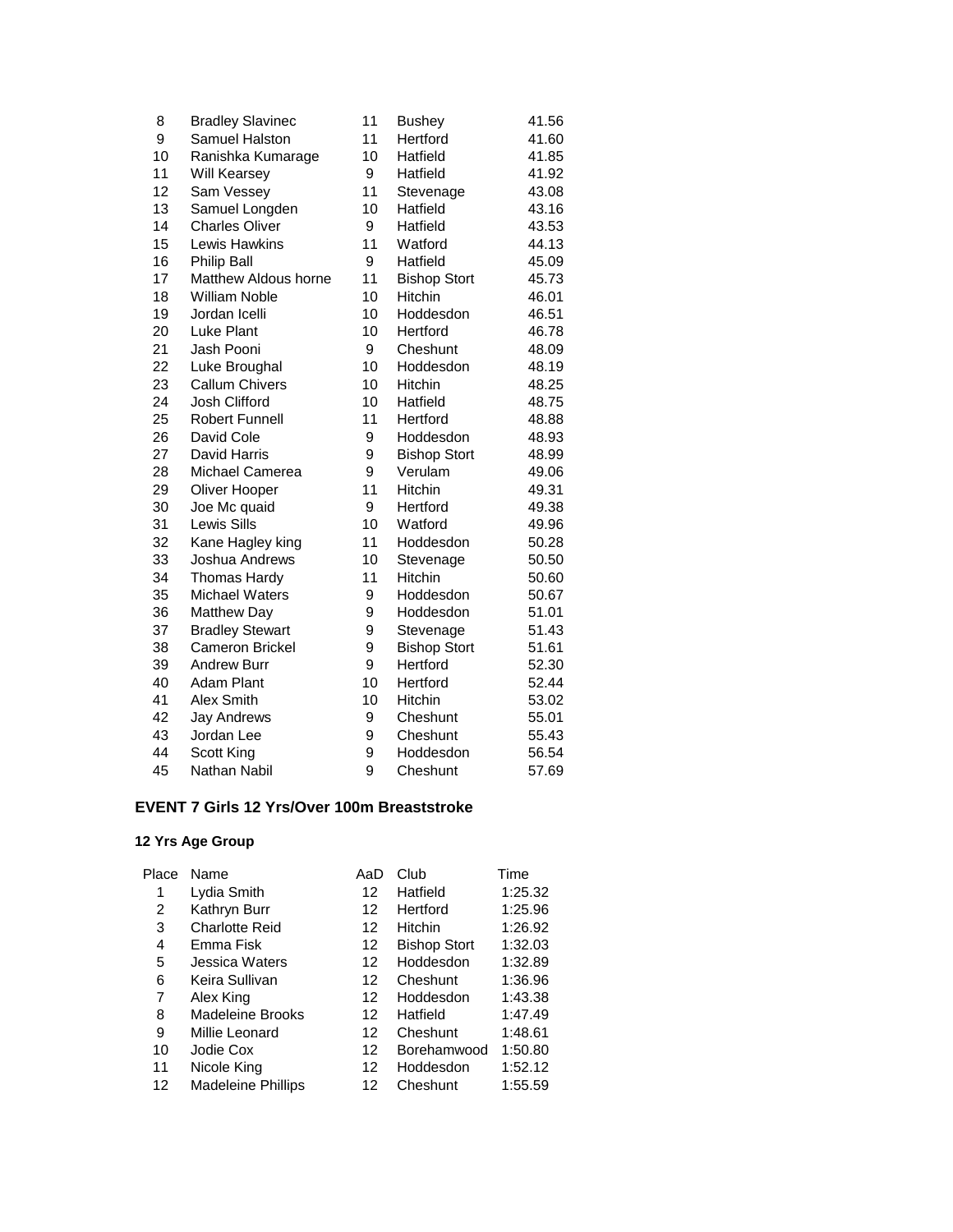| 8  | <b>Bradley Slavinec</b> | 11 | <b>Bushey</b>       | 41.56 |
|----|-------------------------|----|---------------------|-------|
| 9  | Samuel Halston          | 11 | Hertford            | 41.60 |
| 10 | Ranishka Kumarage       | 10 | Hatfield            | 41.85 |
| 11 | Will Kearsey            | 9  | Hatfield            | 41.92 |
| 12 | Sam Vessey              | 11 | Stevenage           | 43.08 |
| 13 | Samuel Longden          | 10 | Hatfield            | 43.16 |
| 14 | <b>Charles Oliver</b>   | 9  | Hatfield            | 43.53 |
| 15 | Lewis Hawkins           | 11 | Watford             | 44.13 |
| 16 | <b>Philip Ball</b>      | 9  | Hatfield            | 45.09 |
| 17 | Matthew Aldous horne    | 11 | <b>Bishop Stort</b> | 45.73 |
| 18 | <b>William Noble</b>    | 10 | Hitchin             | 46.01 |
| 19 | Jordan Icelli           | 10 | Hoddesdon           | 46.51 |
| 20 | Luke Plant              | 10 | Hertford            | 46.78 |
| 21 | Jash Pooni              | 9  | Cheshunt            | 48.09 |
| 22 | Luke Broughal           | 10 | Hoddesdon           | 48.19 |
| 23 | <b>Callum Chivers</b>   | 10 | Hitchin             | 48.25 |
| 24 | Josh Clifford           | 10 | Hatfield            | 48.75 |
| 25 | <b>Robert Funnell</b>   | 11 | Hertford            | 48.88 |
| 26 | David Cole              | 9  | Hoddesdon           | 48.93 |
| 27 | David Harris            | 9  | <b>Bishop Stort</b> | 48.99 |
| 28 | Michael Camerea         | 9  | Verulam             | 49.06 |
| 29 | Oliver Hooper           | 11 | Hitchin             | 49.31 |
| 30 | Joe Mc quaid            | 9  | Hertford            | 49.38 |
| 31 | Lewis Sills             | 10 | Watford             | 49.96 |
| 32 | Kane Hagley king        | 11 | Hoddesdon           | 50.28 |
| 33 | Joshua Andrews          | 10 | Stevenage           | 50.50 |
| 34 | <b>Thomas Hardy</b>     | 11 | <b>Hitchin</b>      | 50.60 |
| 35 | <b>Michael Waters</b>   | 9  | Hoddesdon           | 50.67 |
| 36 | <b>Matthew Day</b>      | 9  | Hoddesdon           | 51.01 |
| 37 | <b>Bradley Stewart</b>  | 9  | Stevenage           | 51.43 |
| 38 | <b>Cameron Brickel</b>  | 9  | <b>Bishop Stort</b> | 51.61 |
| 39 | <b>Andrew Burr</b>      | 9  | Hertford            | 52.30 |
| 40 | <b>Adam Plant</b>       | 10 | Hertford            | 52.44 |
| 41 | Alex Smith              | 10 | Hitchin             | 53.02 |
| 42 | <b>Jay Andrews</b>      | 9  | Cheshunt            | 55.01 |
| 43 | Jordan Lee              | 9  | Cheshunt            | 55.43 |
| 44 | Scott King              | 9  | Hoddesdon           | 56.54 |
| 45 | Nathan Nabil            | 9  | Cheshunt            | 57.69 |

## **EVENT 7 Girls 12 Yrs/Over 100m Breaststroke**

| Name                      | AaD | Club                | Time    |
|---------------------------|-----|---------------------|---------|
| Lydia Smith               | 12  | Hatfield            | 1:25.32 |
| Kathryn Burr              | 12  | Hertford            | 1:25.96 |
| <b>Charlotte Reid</b>     | 12  | Hitchin             | 1:26.92 |
| Emma Fisk                 | 12  | <b>Bishop Stort</b> | 1:32.03 |
| Jessica Waters            | 12  | Hoddesdon           | 1:32.89 |
| Keira Sullivan            | 12  | Cheshunt            | 1:36.96 |
| Alex King                 | 12  | Hoddesdon           | 1:43.38 |
| Madeleine Brooks          | 12  | Hatfield            | 1:47.49 |
| Millie Leonard            | 12  | Cheshunt            | 1:48.61 |
| Jodie Cox                 | 12  | Borehamwood         | 1:50.80 |
| Nicole King               | 12  | Hoddesdon           | 1:52.12 |
| <b>Madeleine Phillips</b> | 12  | Cheshunt            | 1:55.59 |
|                           |     |                     |         |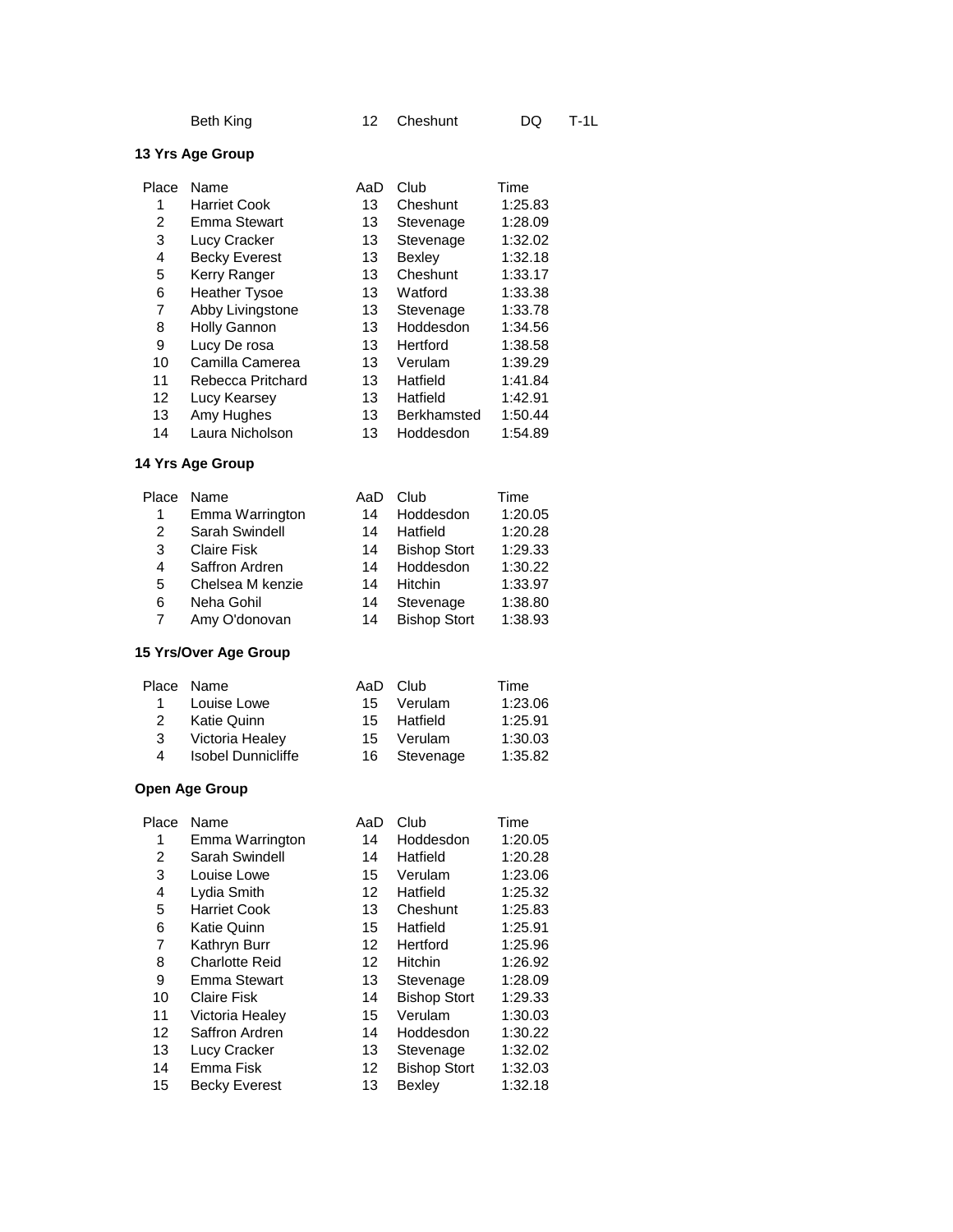| Beth King |  |
|-----------|--|
|-----------|--|

| Place | Name                 | AaD | Club               | Time    |
|-------|----------------------|-----|--------------------|---------|
| 1     | <b>Harriet Cook</b>  | 13  | Cheshunt           | 1:25.83 |
| 2     | <b>Emma Stewart</b>  | 13  | Stevenage          | 1:28.09 |
| 3     | Lucy Cracker         | 13  | Stevenage          | 1:32.02 |
| 4     | <b>Becky Everest</b> | 13  | <b>Bexley</b>      | 1:32.18 |
| 5     | Kerry Ranger         | 13  | Cheshunt           | 1:33.17 |
| 6     | <b>Heather Tysoe</b> | 13  | Watford            | 1:33.38 |
| 7     | Abby Livingstone     | 13  | Stevenage          | 1:33.78 |
| 8     | <b>Holly Gannon</b>  | 13  | Hoddesdon          | 1:34.56 |
| 9     | Lucy De rosa         | 13  | Hertford           | 1:38.58 |
| 10    | Camilla Camerea      | 13  | Verulam            | 1:39.29 |
| 11    | Rebecca Pritchard    | 13  | Hatfield           | 1:41.84 |
| 12    | Lucy Kearsey         | 13  | Hatfield           | 1:42.91 |
| 13    | Amy Hughes           | 13  | <b>Berkhamsted</b> | 1:50.44 |
| 14    | Laura Nicholson      | 13  | Hoddesdon          | 1:54.89 |

# **14 Yrs Age Group**

| Place | Name               | AaD | Club                | Time    |
|-------|--------------------|-----|---------------------|---------|
| 1     | Emma Warrington    | 14  | Hoddesdon           | 1:20.05 |
| 2     | Sarah Swindell     | 14  | Hatfield            | 1:20.28 |
| 3     | <b>Claire Fisk</b> | 14  | <b>Bishop Stort</b> | 1:29.33 |
| 4     | Saffron Ardren     | 14  | Hoddesdon           | 1:30.22 |
| 5     | Chelsea M kenzie   | 14  | <b>Hitchin</b>      | 1:33.97 |
| 6     | Neha Gohil         | 14  | Stevenage           | 1:38.80 |
| 7     | Amy O'donovan      | 14  | <b>Bishop Stort</b> | 1:38.93 |
|       |                    |     |                     |         |

# **15 Yrs/Over Age Group**

|           | Place Name                |    | AaD Club     | Time    |
|-----------|---------------------------|----|--------------|---------|
| $1 \quad$ | Louise Lowe               |    | 15 Verulam   | 1:23.06 |
| 2         | Katie Quinn               |    | 15 Hatfield  | 1:25.91 |
| 3         | Victoria Healey           | 15 | Verulam      | 1:30.03 |
| 4         | <b>Isobel Dunnicliffe</b> |    | 16 Stevenage | 1:35.82 |
|           |                           |    |              |         |

| Place | Name                  | AaD               | Club                | Time    |
|-------|-----------------------|-------------------|---------------------|---------|
| 1     | Emma Warrington       | 14                | Hoddesdon           | 1:20.05 |
| 2     | Sarah Swindell        | 14                | Hatfield            | 1:20.28 |
| 3     | Louise Lowe           | 15                | Verulam             | 1:23.06 |
| 4     | Lydia Smith           | $12 \overline{ }$ | Hatfield            | 1:25.32 |
| 5     | <b>Harriet Cook</b>   | 13                | Cheshunt            | 1:25.83 |
| 6     | <b>Katie Quinn</b>    | 15                | Hatfield            | 1:25.91 |
| 7     | Kathryn Burr          | 12                | Hertford            | 1:25.96 |
| 8     | <b>Charlotte Reid</b> | $12 \overline{ }$ | <b>Hitchin</b>      | 1:26.92 |
| 9     | Emma Stewart          | 13                | Stevenage           | 1:28.09 |
| 10    | <b>Claire Fisk</b>    | 14                | <b>Bishop Stort</b> | 1:29.33 |
| 11    | Victoria Healey       | 15                | Verulam             | 1:30.03 |
| 12    | Saffron Ardren        | 14                | Hoddesdon           | 1:30.22 |
| 13    | Lucy Cracker          | 13                | Stevenage           | 1:32.02 |
| 14    | Emma Fisk             | 12                | <b>Bishop Stort</b> | 1:32.03 |
| 15    | <b>Becky Everest</b>  | 13                | Bexley              | 1:32.18 |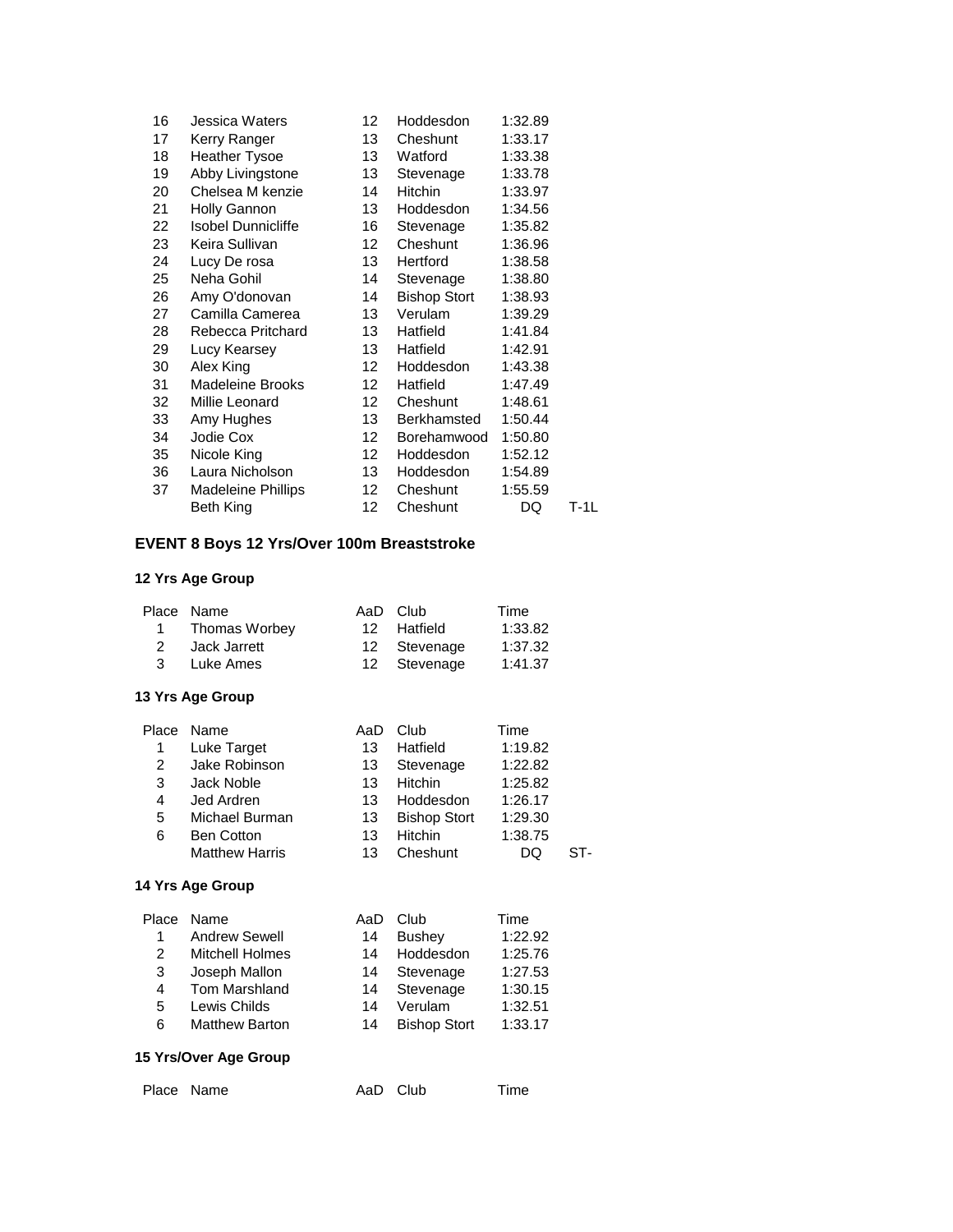|                           | 12                              | Hoddesdon           | 1:32.89 |        |
|---------------------------|---------------------------------|---------------------|---------|--------|
| Kerry Ranger              | 13                              | Cheshunt            | 1:33.17 |        |
| <b>Heather Tysoe</b>      | 13                              | Watford             | 1:33.38 |        |
| Abby Livingstone          | 13                              | Stevenage           | 1:33.78 |        |
| Chelsea M kenzie          | 14                              | <b>Hitchin</b>      | 1:33.97 |        |
| <b>Holly Gannon</b>       | 13                              | Hoddesdon           | 1:34.56 |        |
| <b>Isobel Dunnicliffe</b> | 16                              | Stevenage           | 1:35.82 |        |
| Keira Sullivan            | 12 <sup>1</sup>                 | Cheshunt            | 1:36.96 |        |
| Lucy De rosa              | 13                              | Hertford            | 1:38.58 |        |
| Neha Gohil                | 14                              | Stevenage           | 1:38.80 |        |
|                           | 14                              | <b>Bishop Stort</b> | 1:38.93 |        |
| Camilla Camerea           | 13                              | Verulam             | 1:39.29 |        |
| Rebecca Pritchard         | 13                              | Hatfield            | 1:41.84 |        |
| Lucy Kearsey              | 13                              | Hatfield            | 1:42.91 |        |
| Alex King                 | 12                              | Hoddesdon           | 1:43.38 |        |
| Madeleine Brooks          | 12 <sup>12</sup>                | Hatfield            | 1:47.49 |        |
| Millie Leonard            | 12                              | Cheshunt            | 1:48.61 |        |
| Amy Hughes                | 13                              | Berkhamsted         | 1:50.44 |        |
| Jodie Cox                 | 12                              | Borehamwood         | 1:50.80 |        |
| Nicole King               | 12                              | Hoddesdon           | 1:52.12 |        |
| Laura Nicholson           | 13                              | Hoddesdon           | 1:54.89 |        |
| <b>Madeleine Phillips</b> | 12                              | Cheshunt            | 1:55.59 |        |
| Beth King                 | 12                              | Cheshunt            | DQ      | $T-1L$ |
|                           | Jessica Waters<br>Amy O'donovan |                     |         |        |

# **EVENT 8 Boys 12 Yrs/Over 100m Breaststroke**

# **12 Yrs Age Group**

| Place | Name                    | AaD               | Club                | Time    |     |
|-------|-------------------------|-------------------|---------------------|---------|-----|
| 1     | Thomas Worbey           | $12 \overline{ }$ | Hatfield            | 1:33.82 |     |
| 2     | Jack Jarrett            | 12                | Stevenage           | 1:37.32 |     |
| 3     | Luke Ames               | 12                | Stevenage           | 1:41.37 |     |
|       | 13 Yrs Age Group        |                   |                     |         |     |
| Place | Name                    | AaD               | Club                | Time    |     |
| 1     | Luke Target             | 13                | Hatfield            | 1:19.82 |     |
| 2     | Jake Robinson           | 13                | Stevenage           | 1:22.82 |     |
| 3     | Jack Noble              | 13                | <b>Hitchin</b>      | 1:25.82 |     |
| 4     | Jed Ardren              | 13                | Hoddesdon           | 1:26.17 |     |
| 5     | Michael Burman          | 13                | <b>Bishop Stort</b> | 1:29.30 |     |
| 6     | <b>Ben Cotton</b>       | 13                | <b>Hitchin</b>      | 1:38.75 |     |
|       | <b>Matthew Harris</b>   | 13                | Cheshunt            | DQ      | ST- |
|       | <b>14 Yrs Age Group</b> |                   |                     |         |     |
|       |                         |                   |                     |         |     |

| Place | Name                  | AaD | Club                | Time    |
|-------|-----------------------|-----|---------------------|---------|
|       | <b>Andrew Sewell</b>  | 14  | <b>Bushey</b>       | 1:22.92 |
| 2     | Mitchell Holmes       | 14  | Hoddesdon           | 1:25.76 |
| 3     | Joseph Mallon         | 14  | Stevenage           | 1:27.53 |
| 4     | <b>Tom Marshland</b>  | 14  | Stevenage           | 1:30.15 |
| 5     | Lewis Childs          | 14  | Verulam             | 1:32.51 |
| 6     | <b>Matthew Barton</b> | 14  | <b>Bishop Stort</b> | 1:33.17 |
|       |                       |     |                     |         |

### **15 Yrs/Over Age Group**

| Place Name | AaD Club | Time |
|------------|----------|------|
|------------|----------|------|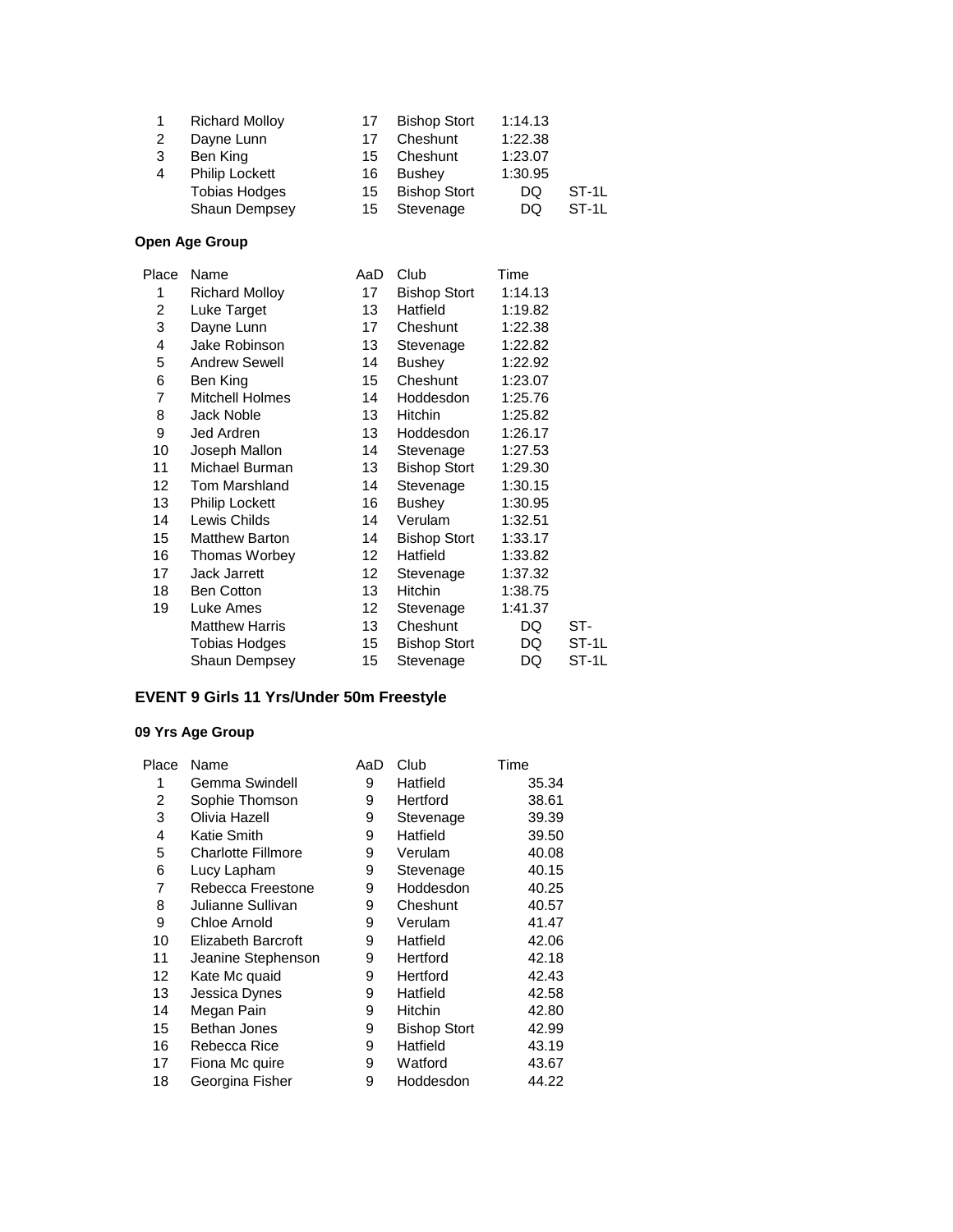|   | <b>Richard Molloy</b> | 17 | <b>Bishop Stort</b> | 1:14.13 |         |
|---|-----------------------|----|---------------------|---------|---------|
| 2 | Dayne Lunn            | 17 | Cheshunt            | 1:22.38 |         |
| 3 | Ben King              | 15 | Cheshunt            | 1:23.07 |         |
| 4 | <b>Philip Lockett</b> | 16 | Bushey              | 1:30.95 |         |
|   | <b>Tobias Hodges</b>  | 15 | <b>Bishop Stort</b> | DQ      | $ST-1L$ |
|   | Shaun Dempsey         | 15 | Stevenage           | DQ      | $ST-1L$ |

| Place | Name                   | AaD             | Club                | Time    |       |
|-------|------------------------|-----------------|---------------------|---------|-------|
| 1     | <b>Richard Molloy</b>  | 17              | <b>Bishop Stort</b> | 1:14.13 |       |
| 2     | Luke Target            | 13              | Hatfield            | 1:19.82 |       |
| 3     | Dayne Lunn             | 17 <sup>2</sup> | Cheshunt            | 1:22.38 |       |
| 4     | Jake Robinson          | 13              | Stevenage           | 1:22.82 |       |
| 5     | <b>Andrew Sewell</b>   | 14              | <b>Bushey</b>       | 1:22.92 |       |
| 6     | Ben King               | 15              | Cheshunt            | 1:23.07 |       |
| 7     | <b>Mitchell Holmes</b> | 14              | Hoddesdon           | 1:25.76 |       |
| 8     | Jack Noble             | 13              | Hitchin             | 1:25.82 |       |
| 9     | Jed Ardren             | 13              | Hoddesdon           | 1:26.17 |       |
| 10    | Joseph Mallon          | 14              | Stevenage           | 1:27.53 |       |
| 11    | Michael Burman         | 13              | <b>Bishop Stort</b> | 1:29.30 |       |
| 12    | Tom Marshland          | 14              | Stevenage           | 1:30.15 |       |
| 13    | <b>Philip Lockett</b>  | 16              | <b>Bushey</b>       | 1:30.95 |       |
| 14    | Lewis Childs           | 14              | Verulam             | 1:32.51 |       |
| 15    | <b>Matthew Barton</b>  | 14              | <b>Bishop Stort</b> | 1:33.17 |       |
| 16    | Thomas Worbey          | 12 <sup>°</sup> | Hatfield            | 1:33.82 |       |
| 17    | Jack Jarrett           | 12              | Stevenage           | 1:37.32 |       |
| 18    | <b>Ben Cotton</b>      | 13              | Hitchin             | 1:38.75 |       |
| 19    | Luke Ames              | 12              | Stevenage           | 1:41.37 |       |
|       | <b>Matthew Harris</b>  | 13              | Cheshunt            | DQ      | ST-   |
|       | Tobias Hodges          | 15              | <b>Bishop Stort</b> | DQ      | ST-1L |
|       | Shaun Dempsey          | 15              | Stevenage           | DQ      | ST-1L |
|       |                        |                 |                     |         |       |

# **EVENT 9 Girls 11 Yrs/Under 50m Freestyle**

| Place | Name                      | AaD | Club                | Time  |
|-------|---------------------------|-----|---------------------|-------|
|       | Gemma Swindell            | 9   | Hatfield            | 35.34 |
| 2     | Sophie Thomson            | 9   | Hertford            | 38.61 |
| 3     | Olivia Hazell             | 9   | Stevenage           | 39.39 |
| 4     | Katie Smith               | 9   | Hatfield            | 39.50 |
| 5     | <b>Charlotte Fillmore</b> | 9   | Verulam             | 40.08 |
| 6     | Lucy Lapham               | 9   | Stevenage           | 40.15 |
| 7     | Rebecca Freestone         | 9   | Hoddesdon           | 40.25 |
| 8     | Julianne Sullivan         | 9   | Cheshunt            | 40.57 |
| 9     | Chloe Arnold              | 9   | Verulam             | 41.47 |
| 10    | <b>Elizabeth Barcroft</b> | 9   | Hatfield            | 42.06 |
| 11    | Jeanine Stephenson        | 9   | Hertford            | 42.18 |
| 12    | Kate Mc quaid             | 9   | Hertford            | 42.43 |
| 13    | Jessica Dynes             | 9   | Hatfield            | 42.58 |
| 14    | Megan Pain                | 9   | <b>Hitchin</b>      | 42.80 |
| 15    | Bethan Jones              | 9   | <b>Bishop Stort</b> | 42.99 |
| 16    | Rebecca Rice              | 9   | Hatfield            | 43.19 |
| 17    | Fiona Mc quire            | 9   | Watford             | 43.67 |
| 18    | Georgina Fisher           | 9   | Hoddesdon           | 44.22 |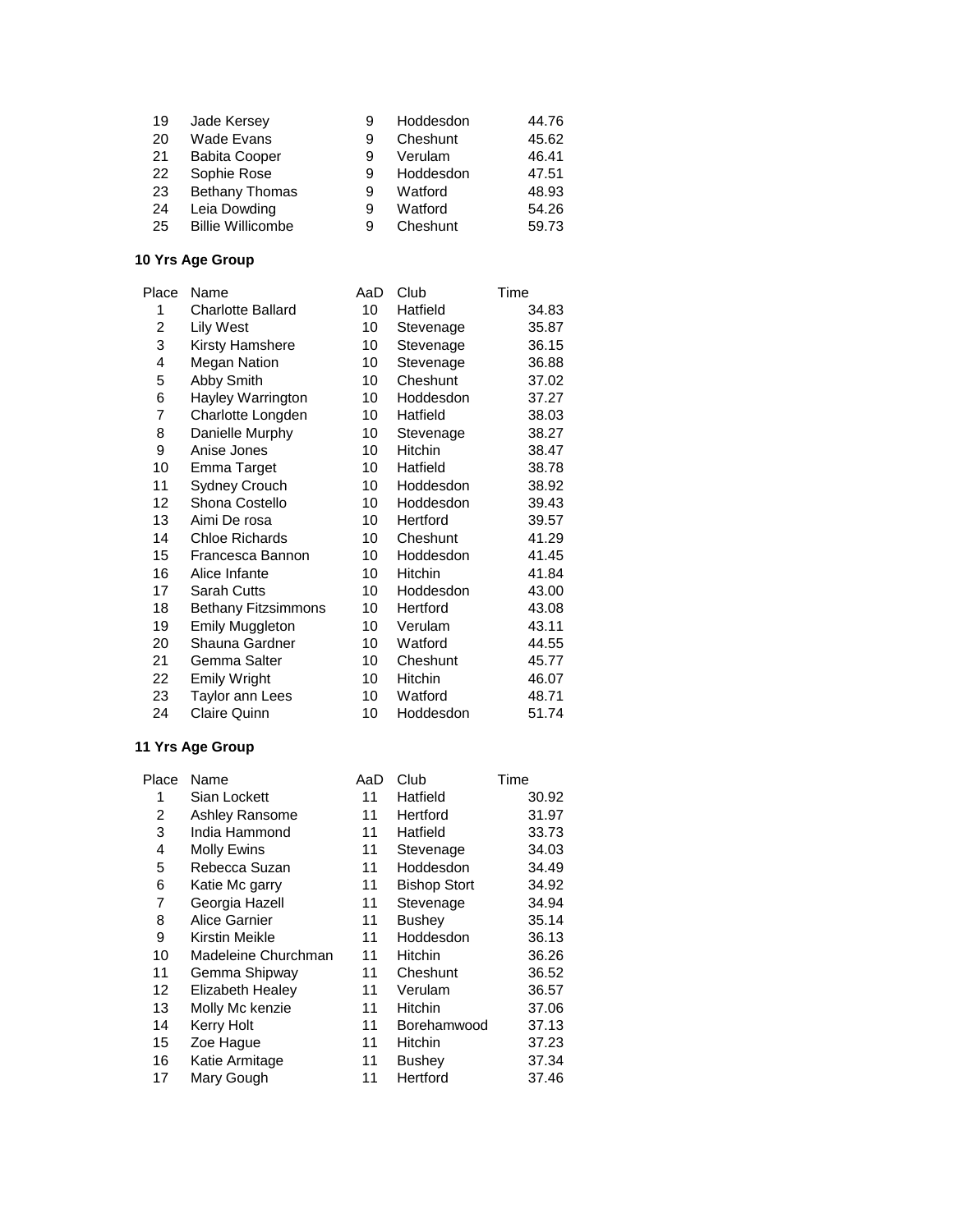| 19 | Jade Kersey              |   | Hoddesdon | 44.76 |
|----|--------------------------|---|-----------|-------|
| 20 | Wade Evans               | 9 | Cheshunt  | 45.62 |
| 21 | <b>Babita Cooper</b>     | 9 | Verulam   | 46.41 |
| 22 | Sophie Rose              | 9 | Hoddesdon | 47.51 |
| 23 | Bethany Thomas           | 9 | Watford   | 48.93 |
| 24 | Leia Dowding             | 9 | Watford   | 54.26 |
| 25 | <b>Billie Willicombe</b> |   | Cheshunt  | 59.73 |

| Place | Name                       | AaD | Club      | Time  |
|-------|----------------------------|-----|-----------|-------|
| 1     | <b>Charlotte Ballard</b>   | 10  | Hatfield  | 34.83 |
| 2     | Lily West                  | 10  | Stevenage | 35.87 |
| 3     | Kirsty Hamshere            | 10  | Stevenage | 36.15 |
| 4     | <b>Megan Nation</b>        | 10  | Stevenage | 36.88 |
| 5     | Abby Smith                 | 10  | Cheshunt  | 37.02 |
| 6     | Hayley Warrington          | 10  | Hoddesdon | 37.27 |
| 7     | Charlotte Longden          | 10  | Hatfield  | 38.03 |
| 8     | Danielle Murphy            | 10  | Stevenage | 38.27 |
| 9     | Anise Jones                | 10  | Hitchin   | 38.47 |
| 10    | Emma Target                | 10  | Hatfield  | 38.78 |
| 11    | Sydney Crouch              | 10  | Hoddesdon | 38.92 |
| 12    | Shona Costello             | 10  | Hoddesdon | 39.43 |
| 13    | Aimi De rosa               | 10  | Hertford  | 39.57 |
| 14    | <b>Chloe Richards</b>      | 10  | Cheshunt  | 41.29 |
| 15    | Francesca Bannon           | 10  | Hoddesdon | 41.45 |
| 16    | Alice Infante              | 10  | Hitchin   | 41.84 |
| 17    | Sarah Cutts                | 10  | Hoddesdon | 43.00 |
| 18    | <b>Bethany Fitzsimmons</b> | 10  | Hertford  | 43.08 |
| 19    | <b>Emily Muggleton</b>     | 10  | Verulam   | 43.11 |
| 20    | Shauna Gardner             | 10  | Watford   | 44.55 |
| 21    | Gemma Salter               | 10  | Cheshunt  | 45.77 |
| 22    | <b>Emily Wright</b>        | 10  | Hitchin   | 46.07 |
| 23    | Taylor ann Lees            | 10  | Watford   | 48.71 |
| 24    | <b>Claire Quinn</b>        | 10  | Hoddesdon | 51.74 |

| Place | Name                    | AaD | Club                | Time  |
|-------|-------------------------|-----|---------------------|-------|
| 1     | Sian Lockett            | 11  | Hatfield            | 30.92 |
| 2     | <b>Ashley Ransome</b>   | 11  | Hertford            | 31.97 |
| 3     | India Hammond           | 11  | Hatfield            | 33.73 |
| 4     | <b>Molly Ewins</b>      | 11  | Stevenage           | 34.03 |
| 5     | Rebecca Suzan           | 11  | Hoddesdon           | 34.49 |
| 6     | Katie Mc garry          | 11  | <b>Bishop Stort</b> | 34.92 |
| 7     | Georgia Hazell          | 11  | Stevenage           | 34.94 |
| 8     | Alice Garnier           | 11  | <b>Bushey</b>       | 35.14 |
| 9     | Kirstin Meikle          | 11  | Hoddesdon           | 36.13 |
| 10    | Madeleine Churchman     | 11  | <b>Hitchin</b>      | 36.26 |
| 11    | Gemma Shipway           | 11  | Cheshunt            | 36.52 |
| 12    | <b>Elizabeth Healey</b> | 11  | Verulam             | 36.57 |
| 13    | Molly Mc kenzie         | 11  | Hitchin             | 37.06 |
| 14    | <b>Kerry Holt</b>       | 11  | Borehamwood         | 37.13 |
| 15    | Zoe Hague               | 11  | Hitchin             | 37.23 |
| 16    | Katie Armitage          | 11  | <b>Bushey</b>       | 37.34 |
| 17    | Mary Gough              | 11  | Hertford            | 37.46 |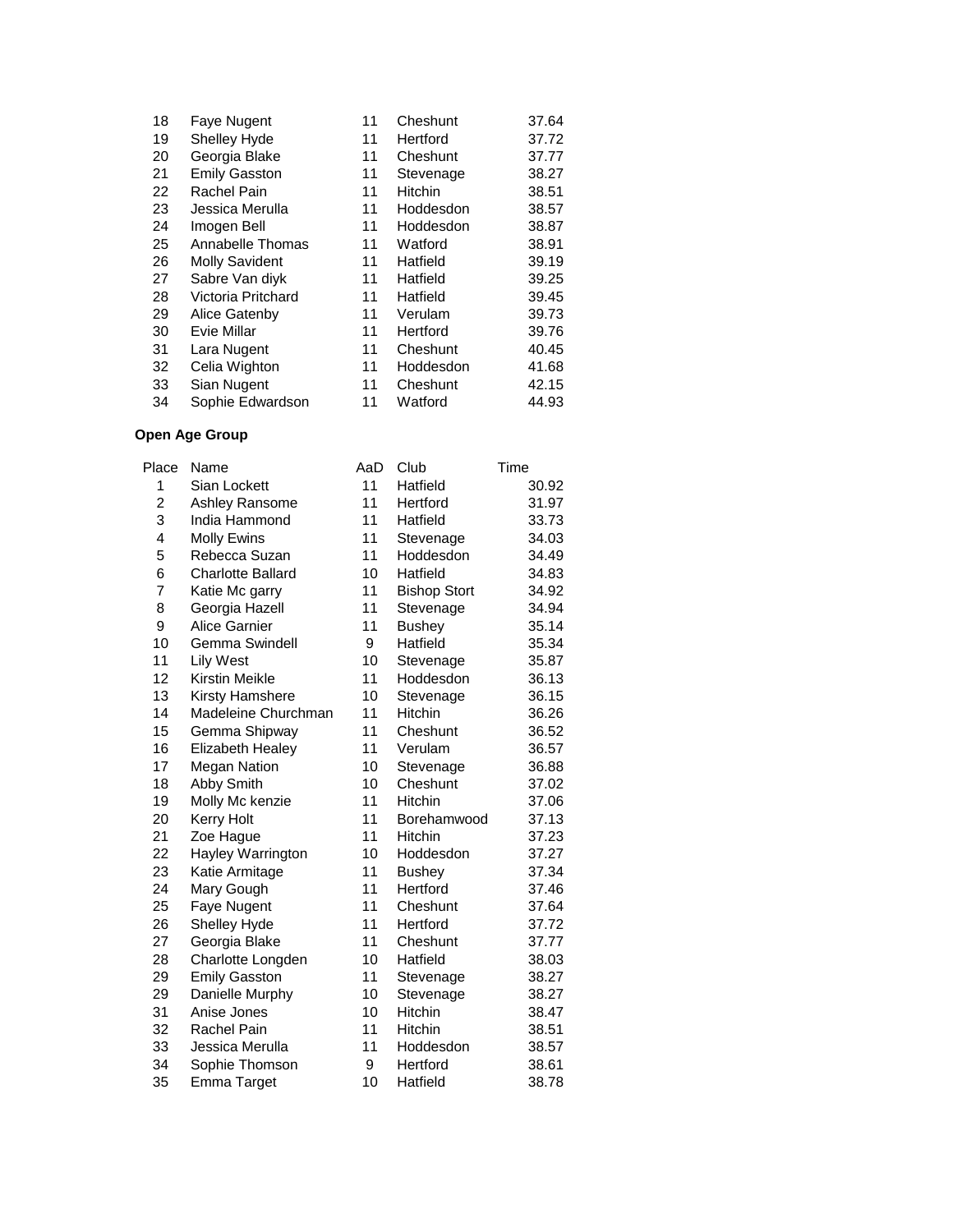| 18 | Faye Nugent           | 11 | Cheshunt       | 37.64 |
|----|-----------------------|----|----------------|-------|
| 19 | <b>Shelley Hyde</b>   | 11 | Hertford       | 37.72 |
| 20 | Georgia Blake         | 11 | Cheshunt       | 37.77 |
| 21 | <b>Emily Gasston</b>  | 11 | Stevenage      | 38.27 |
| 22 | Rachel Pain           | 11 | <b>Hitchin</b> | 38.51 |
| 23 | Jessica Merulla       | 11 | Hoddesdon      | 38.57 |
| 24 | Imogen Bell           | 11 | Hoddesdon      | 38.87 |
| 25 | Annabelle Thomas      | 11 | Watford        | 38.91 |
| 26 | <b>Molly Savident</b> | 11 | Hatfield       | 39.19 |
| 27 | Sabre Van diyk        | 11 | Hatfield       | 39.25 |
| 28 | Victoria Pritchard    | 11 | Hatfield       | 39.45 |
| 29 | Alice Gatenby         | 11 | Verulam        | 39.73 |
| 30 | Evie Millar           | 11 | Hertford       | 39.76 |
| 31 | Lara Nugent           | 11 | Cheshunt       | 40.45 |
| 32 | Celia Wighton         | 11 | Hoddesdon      | 41.68 |
| 33 | Sian Nugent           | 11 | Cheshunt       | 42.15 |
| 34 | Sophie Edwardson      | 11 | Watford        | 44.93 |

| Place                   | Name                     | AaD | Club                | Time  |
|-------------------------|--------------------------|-----|---------------------|-------|
| 1                       | Sian Lockett             | 11  | Hatfield            | 30.92 |
| $\overline{\mathbf{c}}$ | Ashley Ransome           | 11  | Hertford            | 31.97 |
| 3                       | India Hammond            | 11  | Hatfield            | 33.73 |
| 4                       | <b>Molly Ewins</b>       | 11  | Stevenage           | 34.03 |
| 5                       | Rebecca Suzan            | 11  | Hoddesdon           | 34.49 |
| 6                       | <b>Charlotte Ballard</b> | 10  | Hatfield            | 34.83 |
| 7                       | Katie Mc garry           | 11  | <b>Bishop Stort</b> | 34.92 |
| 8                       | Georgia Hazell           | 11  | Stevenage           | 34.94 |
| 9                       | <b>Alice Garnier</b>     | 11  | <b>Bushey</b>       | 35.14 |
| 10                      | Gemma Swindell           | 9   | Hatfield            | 35.34 |
| 11                      | <b>Lily West</b>         | 10  | Stevenage           | 35.87 |
| 12                      | <b>Kirstin Meikle</b>    | 11  | Hoddesdon           | 36.13 |
| 13                      | Kirsty Hamshere          | 10  | Stevenage           | 36.15 |
| 14                      | Madeleine Churchman      | 11  | <b>Hitchin</b>      | 36.26 |
| 15                      | Gemma Shipway            | 11  | Cheshunt            | 36.52 |
| 16                      | Elizabeth Healey         | 11  | Verulam             | 36.57 |
| 17                      | <b>Megan Nation</b>      | 10  | Stevenage           | 36.88 |
| 18                      | Abby Smith               | 10  | Cheshunt            | 37.02 |
| 19                      | Molly Mc kenzie          | 11  | Hitchin             | 37.06 |
| 20                      | <b>Kerry Holt</b>        | 11  | Borehamwood         | 37.13 |
| 21                      | Zoe Hague                | 11  | <b>Hitchin</b>      | 37.23 |
| 22                      | Hayley Warrington        | 10  | Hoddesdon           | 37.27 |
| 23                      | Katie Armitage           | 11  | <b>Bushey</b>       | 37.34 |
| 24                      | Mary Gough               | 11  | Hertford            | 37.46 |
| 25                      | Faye Nugent              | 11  | Cheshunt            | 37.64 |
| 26                      | Shelley Hyde             | 11  | Hertford            | 37.72 |
| 27                      | Georgia Blake            | 11  | Cheshunt            | 37.77 |
| 28                      | Charlotte Longden        | 10  | Hatfield            | 38.03 |
| 29                      | <b>Emily Gasston</b>     | 11  | Stevenage           | 38.27 |
| 29                      | Danielle Murphy          | 10  | Stevenage           | 38.27 |
| 31                      | Anise Jones              | 10  | <b>Hitchin</b>      | 38.47 |
| 32                      | Rachel Pain              | 11  | <b>Hitchin</b>      | 38.51 |
| 33                      | Jessica Merulla          | 11  | Hoddesdon           | 38.57 |
| 34                      | Sophie Thomson           | 9   | Hertford            | 38.61 |
| 35                      | Emma Target              | 10  | Hatfield            | 38.78 |
|                         |                          |     |                     |       |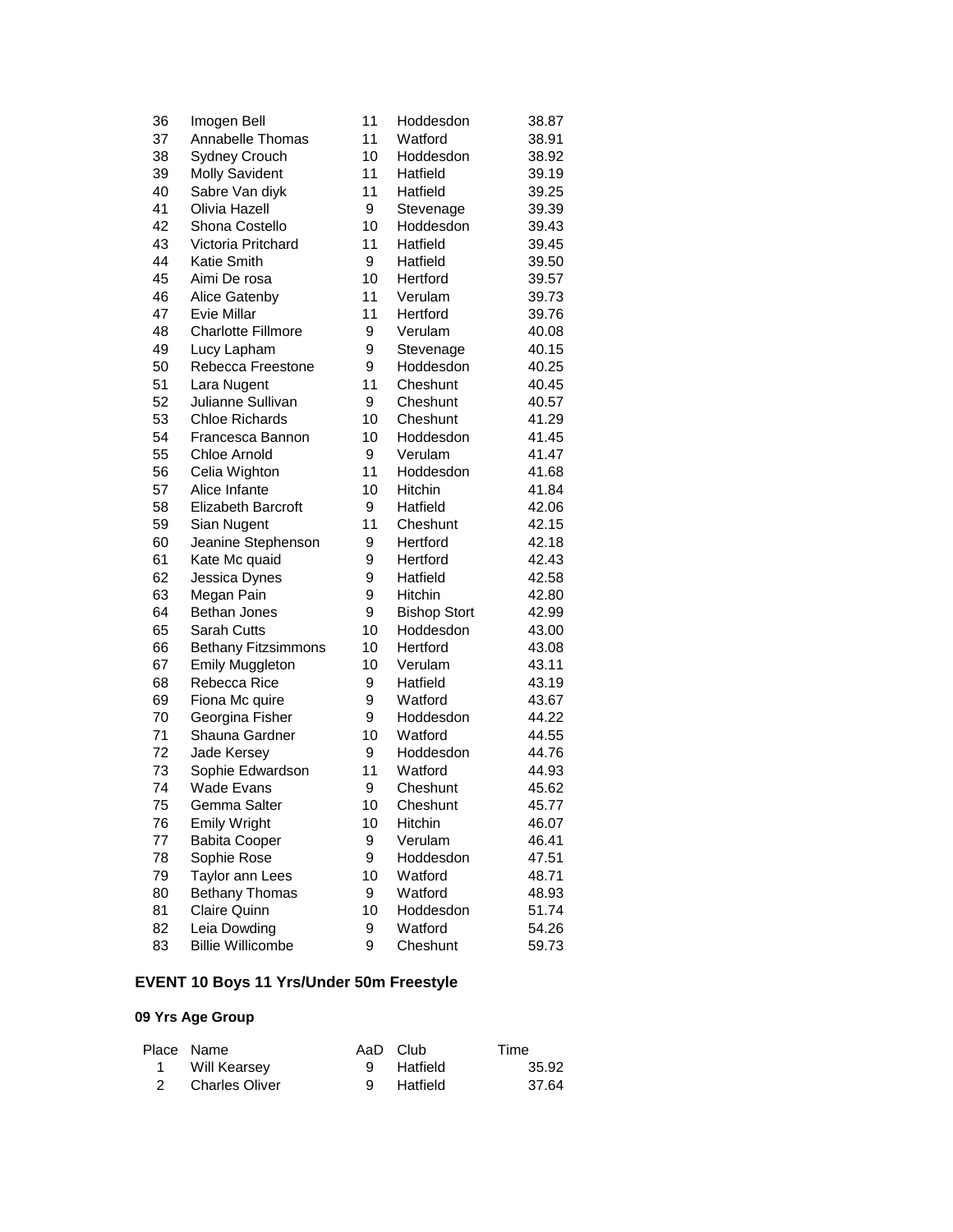| 36 | Imogen Bell                | 11 | Hoddesdon           | 38.87 |
|----|----------------------------|----|---------------------|-------|
| 37 | Annabelle Thomas           | 11 | Watford             | 38.91 |
| 38 | <b>Sydney Crouch</b>       | 10 | Hoddesdon           | 38.92 |
| 39 | <b>Molly Savident</b>      | 11 | Hatfield            | 39.19 |
| 40 | Sabre Van diyk             | 11 | Hatfield            | 39.25 |
| 41 | Olivia Hazell              | 9  | Stevenage           | 39.39 |
| 42 | Shona Costello             | 10 | Hoddesdon           | 39.43 |
| 43 | Victoria Pritchard         | 11 | Hatfield            | 39.45 |
| 44 | Katie Smith                | 9  | Hatfield            | 39.50 |
| 45 | Aimi De rosa               | 10 | Hertford            | 39.57 |
| 46 | Alice Gatenby              | 11 | Verulam             | 39.73 |
| 47 | <b>Evie Millar</b>         | 11 | Hertford            | 39.76 |
| 48 | <b>Charlotte Fillmore</b>  | 9  | Verulam             | 40.08 |
| 49 | Lucy Lapham                | 9  | Stevenage           | 40.15 |
| 50 | Rebecca Freestone          | 9  | Hoddesdon           | 40.25 |
| 51 | Lara Nugent                | 11 | Cheshunt            | 40.45 |
| 52 | Julianne Sullivan          | 9  | Cheshunt            | 40.57 |
| 53 | <b>Chloe Richards</b>      | 10 | Cheshunt            | 41.29 |
| 54 | Francesca Bannon           | 10 | Hoddesdon           | 41.45 |
| 55 | Chloe Arnold               | 9  | Verulam             | 41.47 |
| 56 | Celia Wighton              | 11 | Hoddesdon           | 41.68 |
| 57 | Alice Infante              | 10 | Hitchin             | 41.84 |
| 58 | <b>Elizabeth Barcroft</b>  | 9  | Hatfield            | 42.06 |
| 59 | Sian Nugent                | 11 | Cheshunt            | 42.15 |
| 60 | Jeanine Stephenson         | 9  | Hertford            | 42.18 |
| 61 | Kate Mc quaid              | 9  | Hertford            | 42.43 |
| 62 | Jessica Dynes              | 9  | Hatfield            | 42.58 |
| 63 | Megan Pain                 | 9  | Hitchin             | 42.80 |
| 64 | <b>Bethan Jones</b>        | 9  | <b>Bishop Stort</b> | 42.99 |
| 65 | <b>Sarah Cutts</b>         | 10 | Hoddesdon           | 43.00 |
| 66 | <b>Bethany Fitzsimmons</b> | 10 | Hertford            | 43.08 |
| 67 | <b>Emily Muggleton</b>     | 10 | Verulam             | 43.11 |
| 68 | Rebecca Rice               | 9  | Hatfield            | 43.19 |
| 69 | Fiona Mc quire             | 9  | Watford             | 43.67 |
| 70 | Georgina Fisher            | 9  | Hoddesdon           | 44.22 |
| 71 | Shauna Gardner             | 10 | Watford             | 44.55 |
| 72 | Jade Kersey                | 9  | Hoddesdon           | 44.76 |
| 73 | Sophie Edwardson           | 11 | Watford             | 44.93 |
| 74 | <b>Wade Evans</b>          | 9  | Cheshunt            | 45.62 |
| 75 | Gemma Salter               | 10 | Cheshunt            | 45.77 |
| 76 | <b>Emily Wright</b>        | 10 | Hitchin             | 46.07 |
| 77 | <b>Babita Cooper</b>       | 9  | Verulam             | 46.41 |
| 78 | Sophie Rose                | 9  | Hoddesdon           | 47.51 |
| 79 | Taylor ann Lees            | 10 | Watford             | 48.71 |
| 80 | <b>Bethany Thomas</b>      | 9  | Watford             | 48.93 |
| 81 | <b>Claire Quinn</b>        | 10 | Hoddesdon           | 51.74 |
| 82 | Leia Dowding               | 9  | Watford             | 54.26 |
| 83 | <b>Billie Willicombe</b>   | 9  | Cheshunt            | 59.73 |

# **EVENT 10 Boys 11 Yrs/Under 50m Freestyle**

| Place Name       | AaD Club   | Time  |
|------------------|------------|-------|
| 1 Will Kearsey   | 9 Hatfield | 35.92 |
| 2 Charles Oliver | 9 Hatfield | 37.64 |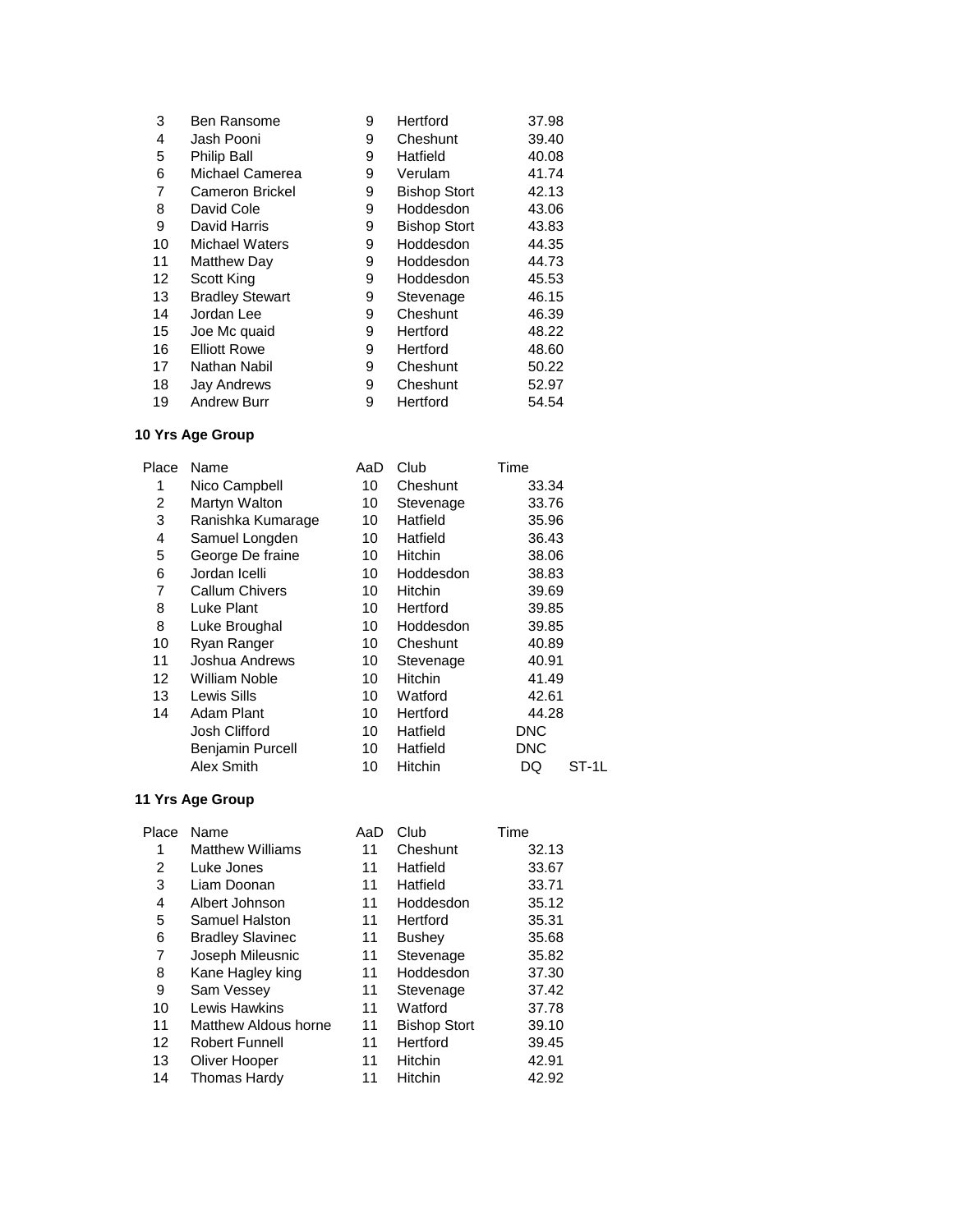| 3  | Ben Ransome            | 9 | Hertford            | 37.98 |
|----|------------------------|---|---------------------|-------|
| 4  | Jash Pooni             | 9 | Cheshunt            | 39.40 |
| 5  | <b>Philip Ball</b>     | 9 | Hatfield            | 40.08 |
| 6  | Michael Camerea        | 9 | Verulam             | 41.74 |
| 7  | Cameron Brickel        | 9 | <b>Bishop Stort</b> | 42.13 |
| 8  | David Cole             | 9 | Hoddesdon           | 43.06 |
| 9  | David Harris           | 9 | <b>Bishop Stort</b> | 43.83 |
| 10 | <b>Michael Waters</b>  | 9 | Hoddesdon           | 44.35 |
| 11 | Matthew Day            | 9 | Hoddesdon           | 44.73 |
| 12 | Scott King             | 9 | Hoddesdon           | 45.53 |
| 13 | <b>Bradley Stewart</b> | 9 | Stevenage           | 46.15 |
| 14 | Jordan Lee             | 9 | Cheshunt            | 46.39 |
| 15 | Joe Mc quaid           | 9 | Hertford            | 48.22 |
| 16 | <b>Elliott Rowe</b>    | 9 | Hertford            | 48.60 |
| 17 | Nathan Nabil           | 9 | Cheshunt            | 50.22 |
| 18 | <b>Jay Andrews</b>     | 9 | Cheshunt            | 52.97 |
| 19 | <b>Andrew Burr</b>     | 9 | Hertford            | 54.54 |

| Place             | Name                    | AaD | Club           | Time       |       |
|-------------------|-------------------------|-----|----------------|------------|-------|
| 1                 | Nico Campbell           | 10  | Cheshunt       | 33.34      |       |
| 2                 | Martyn Walton           | 10  | Stevenage      | 33.76      |       |
| 3                 | Ranishka Kumarage       | 10  | Hatfield       | 35.96      |       |
| 4                 | Samuel Longden          | 10  | Hatfield       | 36.43      |       |
| 5                 | George De fraine        | 10  | <b>Hitchin</b> | 38.06      |       |
| 6                 | Jordan Icelli           | 10  | Hoddesdon      | 38.83      |       |
| 7                 | <b>Callum Chivers</b>   | 10  | <b>Hitchin</b> | 39.69      |       |
| 8                 | Luke Plant              | 10  | Hertford       | 39.85      |       |
| 8                 | Luke Broughal           | 10  | Hoddesdon      | 39.85      |       |
| 10                | Ryan Ranger             | 10  | Cheshunt       | 40.89      |       |
| 11                | Joshua Andrews          | 10  | Stevenage      | 40.91      |       |
| $12 \overline{ }$ | William Noble           | 10  | <b>Hitchin</b> | 41.49      |       |
| 13                | Lewis Sills             | 10  | Watford        | 42.61      |       |
| 14                | Adam Plant              | 10  | Hertford       | 44.28      |       |
|                   | Josh Clifford           | 10  | Hatfield       | <b>DNC</b> |       |
|                   | <b>Benjamin Purcell</b> | 10  | Hatfield       | <b>DNC</b> |       |
|                   | Alex Smith              | 10  | <b>Hitchin</b> | DQ         | ST-1L |
|                   |                         |     |                |            |       |

| Place | Name                    | AaD | Club                | Time  |
|-------|-------------------------|-----|---------------------|-------|
|       | <b>Matthew Williams</b> | 11  | Cheshunt            | 32.13 |
| 2     | Luke Jones              | 11  | Hatfield            | 33.67 |
| 3     | Liam Doonan             | 11  | Hatfield            | 33.71 |
| 4     | Albert Johnson          | 11  | Hoddesdon           | 35.12 |
| 5     | Samuel Halston          | 11  | Hertford            | 35.31 |
| 6     | <b>Bradley Slavinec</b> | 11  | <b>Bushey</b>       | 35.68 |
| 7     | Joseph Mileusnic        | 11  | Stevenage           | 35.82 |
| 8     | Kane Hagley king        | 11  | Hoddesdon           | 37.30 |
| 9     | Sam Vessey              | 11  | Stevenage           | 37.42 |
| 10    | Lewis Hawkins           | 11  | Watford             | 37.78 |
| 11    | Matthew Aldous horne    | 11  | <b>Bishop Stort</b> | 39.10 |
| 12    | <b>Robert Funnell</b>   | 11  | Hertford            | 39.45 |
| 13    | Oliver Hooper           | 11  | Hitchin             | 42.91 |
| 14    | <b>Thomas Hardy</b>     | 11  | Hitchin             | 42.92 |